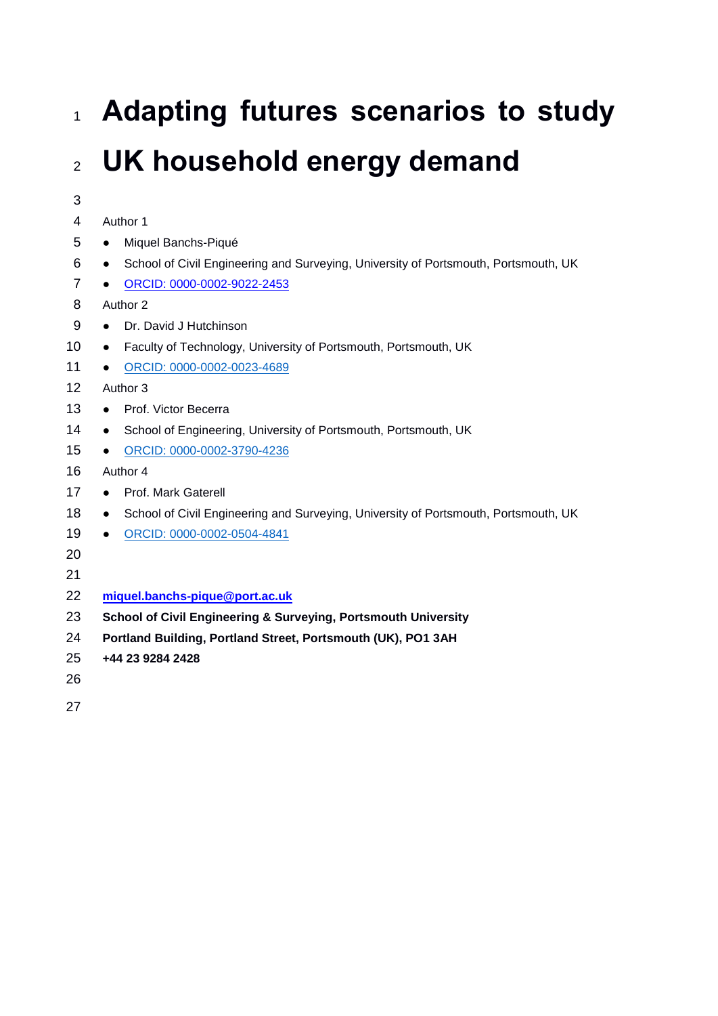# **Adapting futures scenarios to study UK household energy demand**

| 3              |                                                                                                  |
|----------------|--------------------------------------------------------------------------------------------------|
| 4              | Author 1                                                                                         |
| 5              | Miquel Banchs-Piqué<br>$\bullet$                                                                 |
| 6              | School of Civil Engineering and Surveying, University of Portsmouth, Portsmouth, UK<br>$\bullet$ |
| $\overline{7}$ | ORCID: 0000-0002-9022-2453<br>$\bullet$                                                          |
| 8              | Author 2                                                                                         |
| 9              | Dr. David J Hutchinson<br>$\bullet$                                                              |
| 10             | Faculty of Technology, University of Portsmouth, Portsmouth, UK<br>$\bullet$                     |
| 11             | ORCID: 0000-0002-0023-4689<br>$\bullet$                                                          |
| 12             | Author 3                                                                                         |
| 13             | Prof. Victor Becerra<br>$\bullet$                                                                |
| 14             | School of Engineering, University of Portsmouth, Portsmouth, UK<br>$\bullet$                     |
| 15             | ORCID: 0000-0002-3790-4236<br>$\bullet$                                                          |
| 16             | Author 4                                                                                         |
| 17             | Prof. Mark Gaterell<br>$\bullet$                                                                 |
| 18             | School of Civil Engineering and Surveying, University of Portsmouth, Portsmouth, UK<br>$\bullet$ |
| 19             | ORCID: 0000-0002-0504-4841<br>$\bullet$                                                          |
| 20             |                                                                                                  |
| 21             |                                                                                                  |
| 22             | miquel.banchs-pique@port.ac.uk                                                                   |
| 23             | <b>School of Civil Engineering &amp; Surveying, Portsmouth University</b>                        |
| 24             | Portland Building, Portland Street, Portsmouth (UK), PO1 3AH                                     |
| 25             | +44 23 9284 2428                                                                                 |
| 26             |                                                                                                  |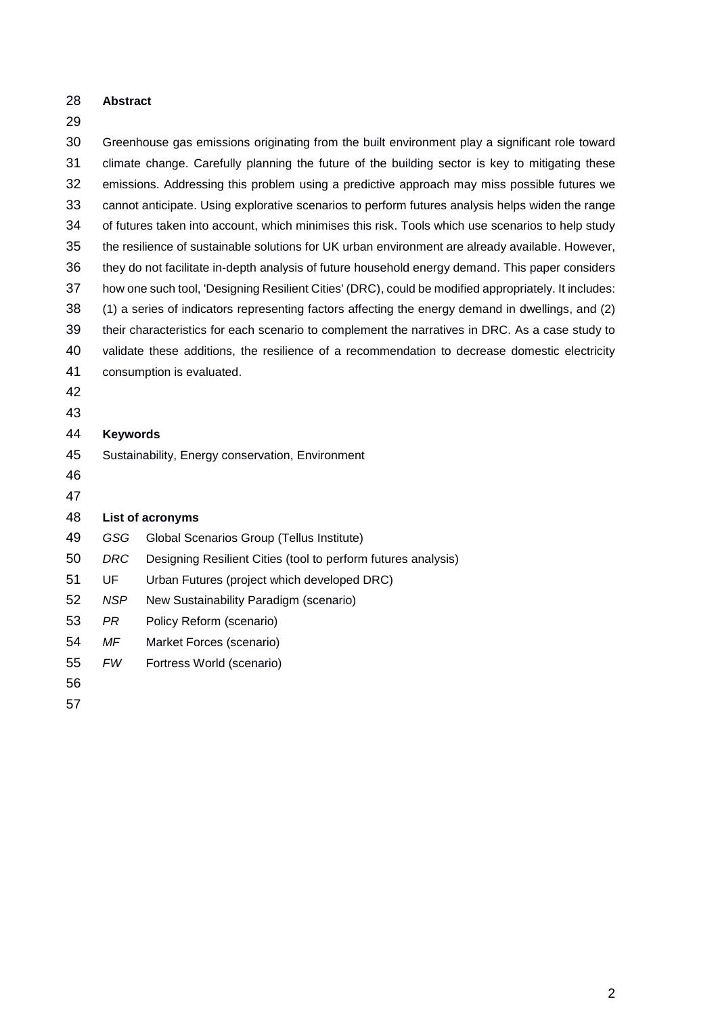**Abstract**

#### 

 Greenhouse gas emissions originating from the built environment play a significant role toward climate change. Carefully planning the future of the building sector is key to mitigating these emissions. Addressing this problem using a predictive approach may miss possible futures we cannot anticipate. Using explorative scenarios to perform futures analysis helps widen the range of futures taken into account, which minimises this risk. Tools which use scenarios to help study the resilience of sustainable solutions for UK urban environment are already available. However, they do not facilitate in-depth analysis of future household energy demand. This paper considers how one such tool, 'Designing Resilient Cities' (DRC), could be modified appropriately. It includes: (1) a series of indicators representing factors affecting the energy demand in dwellings, and (2) their characteristics for each scenario to complement the narratives in DRC. As a case study to validate these additions, the resilience of a recommendation to decrease domestic electricity consumption is evaluated. **Keywords** Sustainability, Energy conservation, Environment **List of acronyms** *GSG* Global Scenarios Group (Tellus Institute) *DRC* Designing Resilient Cities (tool to perform futures analysis) UF Urban Futures (project which developed DRC) *NSP* New Sustainability Paradigm (scenario) *PR* Policy Reform (scenario) *MF* Market Forces (scenario) *FW* Fortress World (scenario)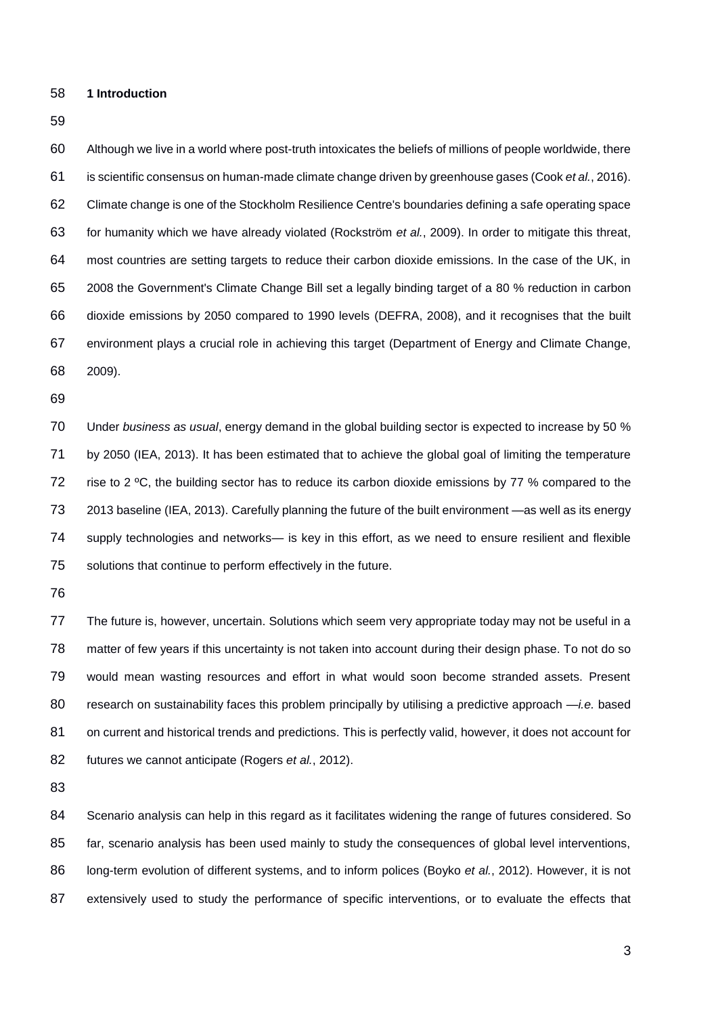**1 Introduction**

#### 

 Although we live in a world where post-truth intoxicates the beliefs of millions of people worldwide, there is scientific consensus on human-made climate change driven by greenhouse gases (Cook *et al.*, 2016). Climate change is one of the Stockholm Resilience Centre's boundaries defining a safe operating space for humanity which we have already violated (Rockström *et al.*, 2009). In order to mitigate this threat, most countries are setting targets to reduce their carbon dioxide emissions. In the case of the UK, in 2008 the Government's Climate Change Bill set a legally binding target of a 80 % reduction in carbon dioxide emissions by 2050 compared to 1990 levels (DEFRA, 2008), and it recognises that the built environment plays a crucial role in achieving this target (Department of Energy and Climate Change, 2009).

 Under *business as usual*, energy demand in the global building sector is expected to increase by 50 % by 2050 (IEA, 2013). It has been estimated that to achieve the global goal of limiting the temperature rise to 2 ºC, the building sector has to reduce its carbon dioxide emissions by 77 % compared to the 2013 baseline (IEA, 2013). Carefully planning the future of the built environment —as well as its energy supply technologies and networks— is key in this effort, as we need to ensure resilient and flexible solutions that continue to perform effectively in the future.

 The future is, however, uncertain. Solutions which seem very appropriate today may not be useful in a matter of few years if this uncertainty is not taken into account during their design phase. To not do so would mean wasting resources and effort in what would soon become stranded assets. Present research on sustainability faces this problem principally by utilising a predictive approach —*i.e.* based 81 on current and historical trends and predictions. This is perfectly valid, however, it does not account for futures we cannot anticipate (Rogers *et al.*, 2012).

 Scenario analysis can help in this regard as it facilitates widening the range of futures considered. So far, scenario analysis has been used mainly to study the consequences of global level interventions, long-term evolution of different systems, and to inform polices (Boyko *et al.*, 2012). However, it is not extensively used to study the performance of specific interventions, or to evaluate the effects that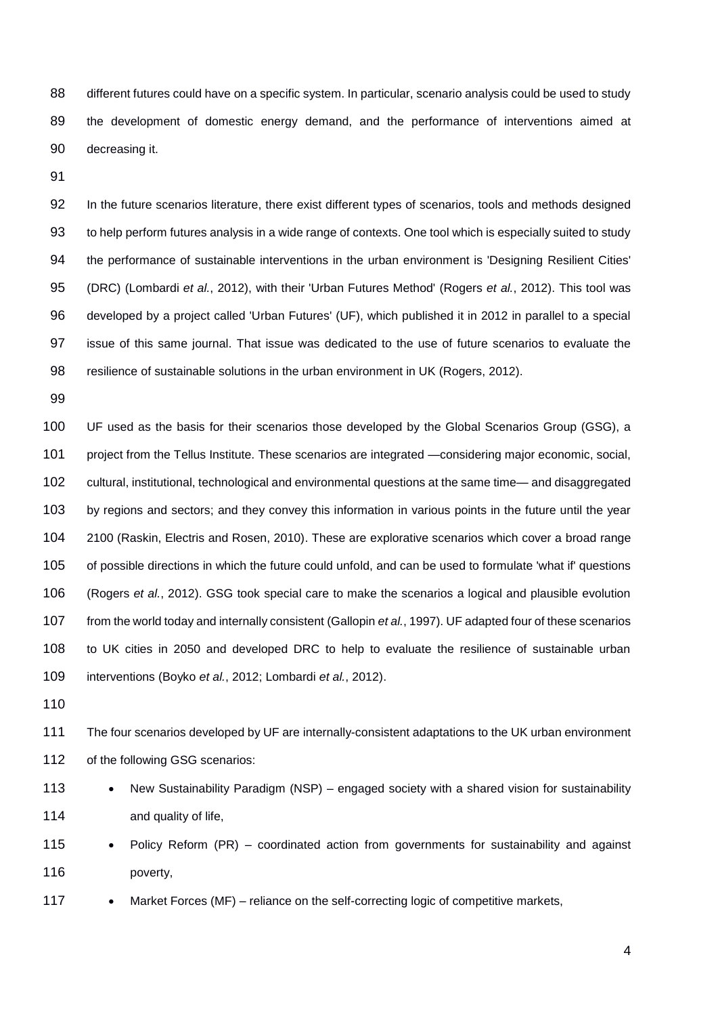88 different futures could have on a specific system. In particular, scenario analysis could be used to study the development of domestic energy demand, and the performance of interventions aimed at decreasing it.

 In the future scenarios literature, there exist different types of scenarios, tools and methods designed to help perform futures analysis in a wide range of contexts. One tool which is especially suited to study 94 the performance of sustainable interventions in the urban environment is 'Designing Resilient Cities' (DRC) (Lombardi *et al.*, 2012), with their 'Urban Futures Method' (Rogers *et al.*, 2012). This tool was developed by a project called 'Urban Futures' (UF), which published it in 2012 in parallel to a special issue of this same journal. That issue was dedicated to the use of future scenarios to evaluate the resilience of sustainable solutions in the urban environment in UK (Rogers, 2012).

 UF used as the basis for their scenarios those developed by the Global Scenarios Group (GSG), a 101 project from the Tellus Institute. These scenarios are integrated —considering major economic, social, cultural, institutional, technological and environmental questions at the same time— and disaggregated by regions and sectors; and they convey this information in various points in the future until the year 2100 (Raskin, Electris and Rosen, 2010). These are explorative scenarios which cover a broad range of possible directions in which the future could unfold, and can be used to formulate 'what if' questions (Rogers *et al.*, 2012). GSG took special care to make the scenarios a logical and plausible evolution from the world today and internally consistent (Gallopin *et al.*, 1997). UF adapted four of these scenarios to UK cities in 2050 and developed DRC to help to evaluate the resilience of sustainable urban interventions (Boyko *et al.*, 2012; Lombardi *et al.*, 2012).

 The four scenarios developed by UF are internally-consistent adaptations to the UK urban environment 112 of the following GSG scenarios:

- 113 New Sustainability Paradigm (NSP) engaged society with a shared vision for sustainability **and quality of life**,
- 115 Policy Reform (PR) coordinated action from governments for sustainability and against poverty,
- 117 Market Forces (MF) reliance on the self-correcting logic of competitive markets,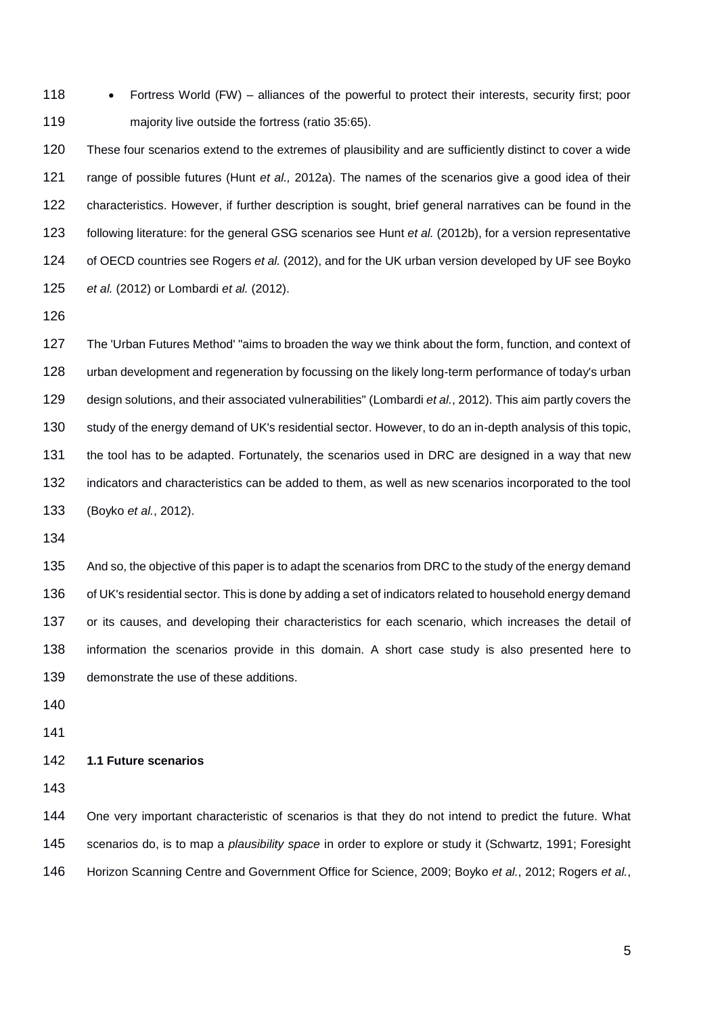118 • Fortress World (FW) – alliances of the powerful to protect their interests, security first; poor majority live outside the fortress (ratio 35:65).

 These four scenarios extend to the extremes of plausibility and are sufficiently distinct to cover a wide range of possible futures (Hunt *et al.,* 2012a). The names of the scenarios give a good idea of their characteristics. However, if further description is sought, brief general narratives can be found in the following literature: for the general GSG scenarios see Hunt *et al.* (2012b), for a version representative of OECD countries see Rogers *et al.* (2012), and for the UK urban version developed by UF see Boyko *et al.* (2012) or Lombardi *et al.* (2012).

 The 'Urban Futures Method' "aims to broaden the way we think about the form, function, and context of urban development and regeneration by focussing on the likely long-term performance of today's urban design solutions, and their associated vulnerabilities" (Lombardi *et al.*, 2012). This aim partly covers the study of the energy demand of UK's residential sector. However, to do an in-depth analysis of this topic, the tool has to be adapted. Fortunately, the scenarios used in DRC are designed in a way that new indicators and characteristics can be added to them, as well as new scenarios incorporated to the tool (Boyko *et al.*, 2012).

135 And so, the objective of this paper is to adapt the scenarios from DRC to the study of the energy demand of UK's residential sector. This is done by adding a set of indicators related to household energy demand or its causes, and developing their characteristics for each scenario, which increases the detail of information the scenarios provide in this domain. A short case study is also presented here to demonstrate the use of these additions.

## **1.1 Future scenarios**

 One very important characteristic of scenarios is that they do not intend to predict the future. What scenarios do, is to map a *plausibility space* in order to explore or study it (Schwartz, 1991; Foresight Horizon Scanning Centre and Government Office for Science, 2009; Boyko *et al.*, 2012; Rogers *et al.*,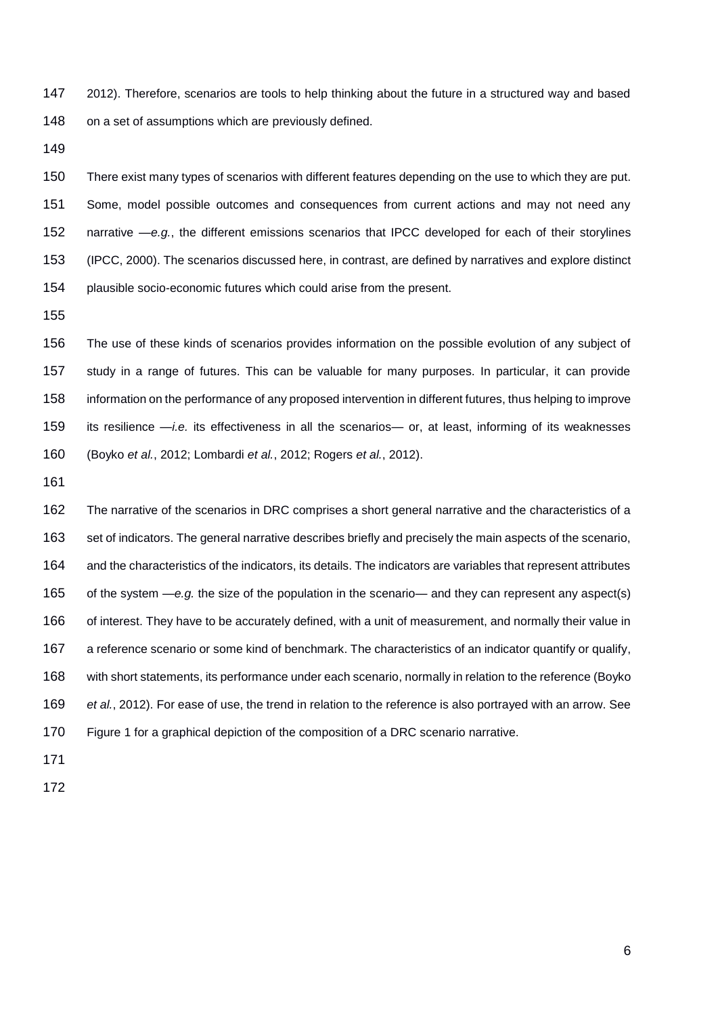2012). Therefore, scenarios are tools to help thinking about the future in a structured way and based 148 on a set of assumptions which are previously defined.

 There exist many types of scenarios with different features depending on the use to which they are put. Some, model possible outcomes and consequences from current actions and may not need any narrative —*e.g.*, the different emissions scenarios that IPCC developed for each of their storylines (IPCC, 2000). The scenarios discussed here, in contrast, are defined by narratives and explore distinct plausible socio-economic futures which could arise from the present.

 The use of these kinds of scenarios provides information on the possible evolution of any subject of study in a range of futures. This can be valuable for many purposes. In particular, it can provide information on the performance of any proposed intervention in different futures, thus helping to improve its resilience —*i.e.* its effectiveness in all the scenarios— or, at least, informing of its weaknesses (Boyko *et al.*, 2012; Lombardi *et al.*, 2012; Rogers *et al.*, 2012).

 The narrative of the scenarios in DRC comprises a short general narrative and the characteristics of a set of indicators. The general narrative describes briefly and precisely the main aspects of the scenario, and the characteristics of the indicators, its details. The indicators are variables that represent attributes of the system —*e.g.* the size of the population in the scenario— and they can represent any aspect(s) of interest. They have to be accurately defined, with a unit of measurement, and normally their value in a reference scenario or some kind of benchmark. The characteristics of an indicator quantify or qualify, with short statements, its performance under each scenario, normally in relation to the reference (Boyko *et al.*, 2012). For ease of use, the trend in relation to the reference is also portrayed with an arrow. See Figure 1 for a graphical depiction of the composition of a DRC scenario narrative.

- 
-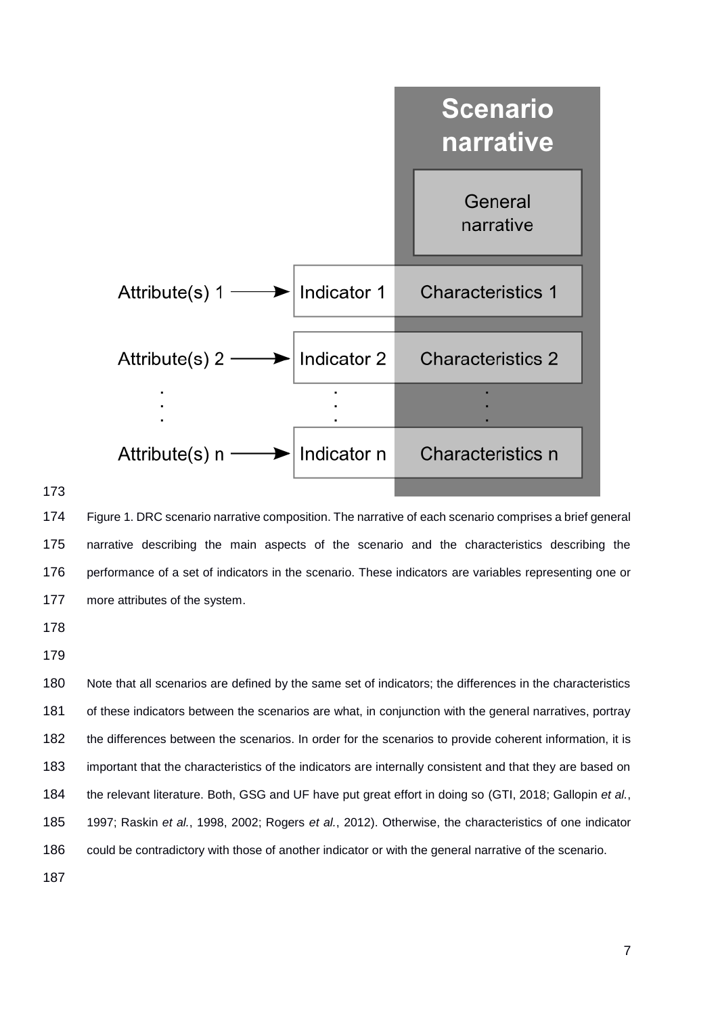

 Figure 1. DRC scenario narrative composition. The narrative of each scenario comprises a brief general narrative describing the main aspects of the scenario and the characteristics describing the 176 performance of a set of indicators in the scenario. These indicators are variables representing one or more attributes of the system.

 Note that all scenarios are defined by the same set of indicators; the differences in the characteristics of these indicators between the scenarios are what, in conjunction with the general narratives, portray the differences between the scenarios. In order for the scenarios to provide coherent information, it is important that the characteristics of the indicators are internally consistent and that they are based on the relevant literature. Both, GSG and UF have put great effort in doing so (GTI, 2018; Gallopin *et al.*, 1997; Raskin *et al.*, 1998, 2002; Rogers *et al.*, 2012). Otherwise, the characteristics of one indicator could be contradictory with those of another indicator or with the general narrative of the scenario.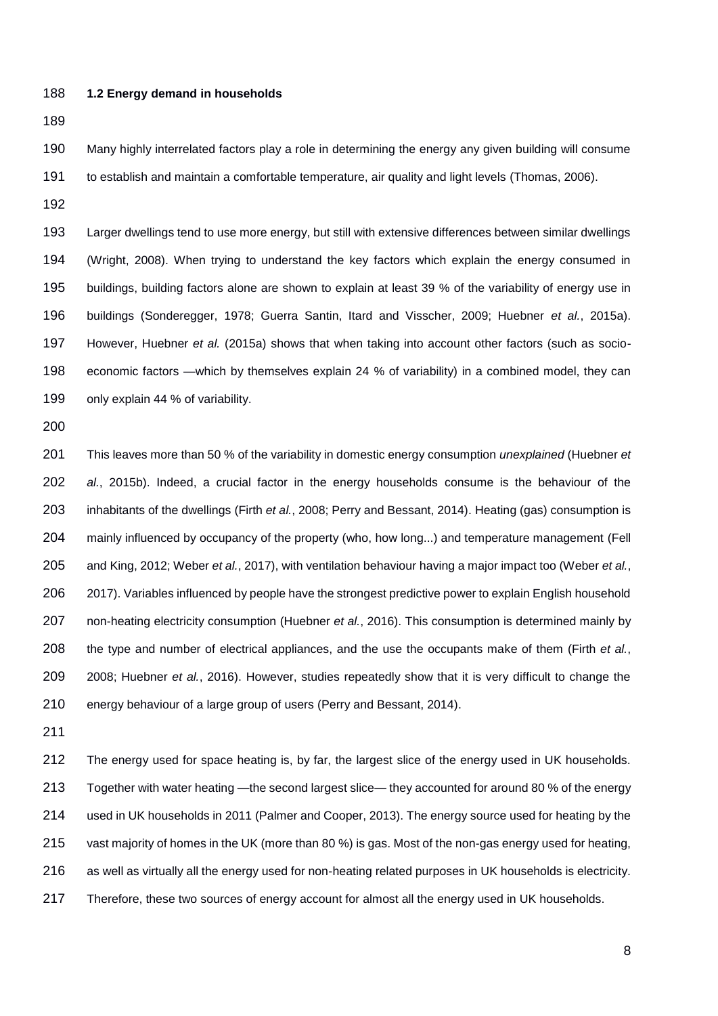**1.2 Energy demand in households**

 Many highly interrelated factors play a role in determining the energy any given building will consume to establish and maintain a comfortable temperature, air quality and light levels (Thomas, 2006).

 Larger dwellings tend to use more energy, but still with extensive differences between similar dwellings (Wright, 2008). When trying to understand the key factors which explain the energy consumed in buildings, building factors alone are shown to explain at least 39 % of the variability of energy use in buildings (Sonderegger, 1978; Guerra Santin, Itard and Visscher, 2009; Huebner *et al.*, 2015a). However, Huebner *et al.* (2015a) shows that when taking into account other factors (such as socio- economic factors —which by themselves explain 24 % of variability) in a combined model, they can 199 only explain 44 % of variability.

 This leaves more than 50 % of the variability in domestic energy consumption *unexplained* (Huebner *et al.*, 2015b). Indeed, a crucial factor in the energy households consume is the behaviour of the inhabitants of the dwellings (Firth *et al.*, 2008; Perry and Bessant, 2014). Heating (gas) consumption is mainly influenced by occupancy of the property (who, how long...) and temperature management (Fell and King, 2012; Weber *et al.*, 2017), with ventilation behaviour having a major impact too (Weber *et al.*, 2017). Variables influenced by people have the strongest predictive power to explain English household non-heating electricity consumption (Huebner *et al.*, 2016). This consumption is determined mainly by the type and number of electrical appliances, and the use the occupants make of them (Firth *et al.*, 2008; Huebner *et al.*, 2016). However, studies repeatedly show that it is very difficult to change the energy behaviour of a large group of users (Perry and Bessant, 2014).

 The energy used for space heating is, by far, the largest slice of the energy used in UK households. Together with water heating —the second largest slice— they accounted for around 80 % of the energy used in UK households in 2011 (Palmer and Cooper, 2013). The energy source used for heating by the vast majority of homes in the UK (more than 80 %) is gas. Most of the non-gas energy used for heating, as well as virtually all the energy used for non-heating related purposes in UK households is electricity. 217 Therefore, these two sources of energy account for almost all the energy used in UK households.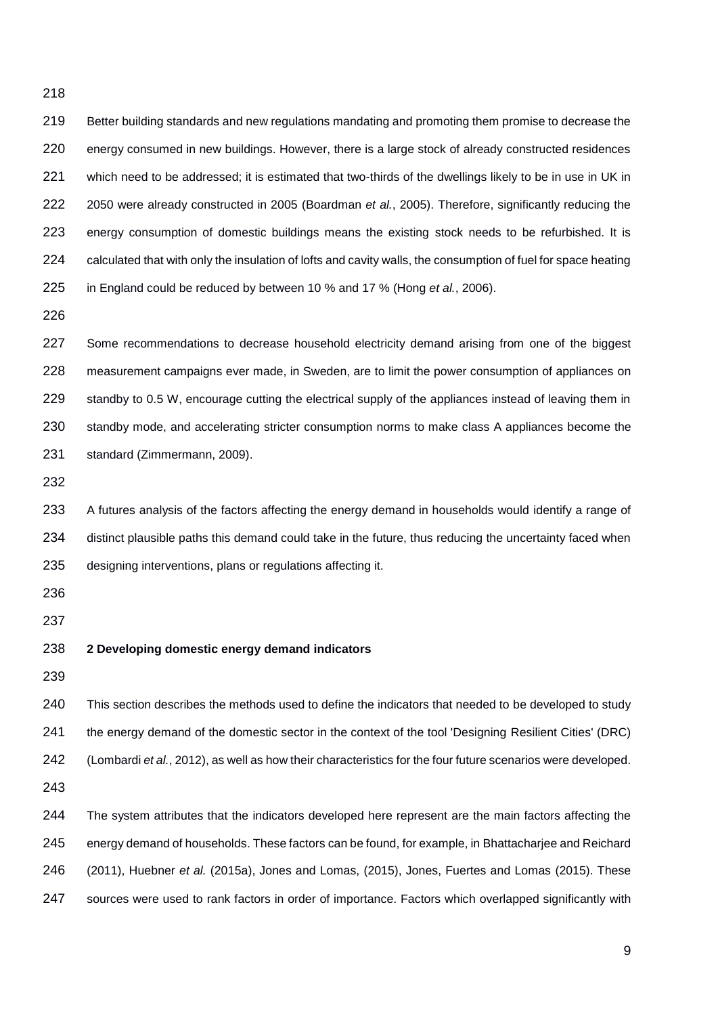Better building standards and new regulations mandating and promoting them promise to decrease the energy consumed in new buildings. However, there is a large stock of already constructed residences which need to be addressed; it is estimated that two-thirds of the dwellings likely to be in use in UK in 2050 were already constructed in 2005 (Boardman *et al.*, 2005). Therefore, significantly reducing the energy consumption of domestic buildings means the existing stock needs to be refurbished. It is 224 calculated that with only the insulation of lofts and cavity walls, the consumption of fuel for space heating in England could be reduced by between 10 % and 17 % (Hong *et al.*, 2006).

227 Some recommendations to decrease household electricity demand arising from one of the biggest measurement campaigns ever made, in Sweden, are to limit the power consumption of appliances on 229 standby to 0.5 W, encourage cutting the electrical supply of the appliances instead of leaving them in standby mode, and accelerating stricter consumption norms to make class A appliances become the standard (Zimmermann, 2009).

 A futures analysis of the factors affecting the energy demand in households would identify a range of 234 distinct plausible paths this demand could take in the future, thus reducing the uncertainty faced when designing interventions, plans or regulations affecting it.

#### **2 Developing domestic energy demand indicators**

 This section describes the methods used to define the indicators that needed to be developed to study 241 the energy demand of the domestic sector in the context of the tool 'Designing Resilient Cities' (DRC) (Lombardi *et al.*, 2012), as well as how their characteristics for the four future scenarios were developed. 244 The system attributes that the indicators developed here represent are the main factors affecting the

 energy demand of households. These factors can be found, for example, in Bhattacharjee and Reichard (2011), Huebner *et al.* (2015a), Jones and Lomas, (2015), Jones, Fuertes and Lomas (2015). These sources were used to rank factors in order of importance. Factors which overlapped significantly with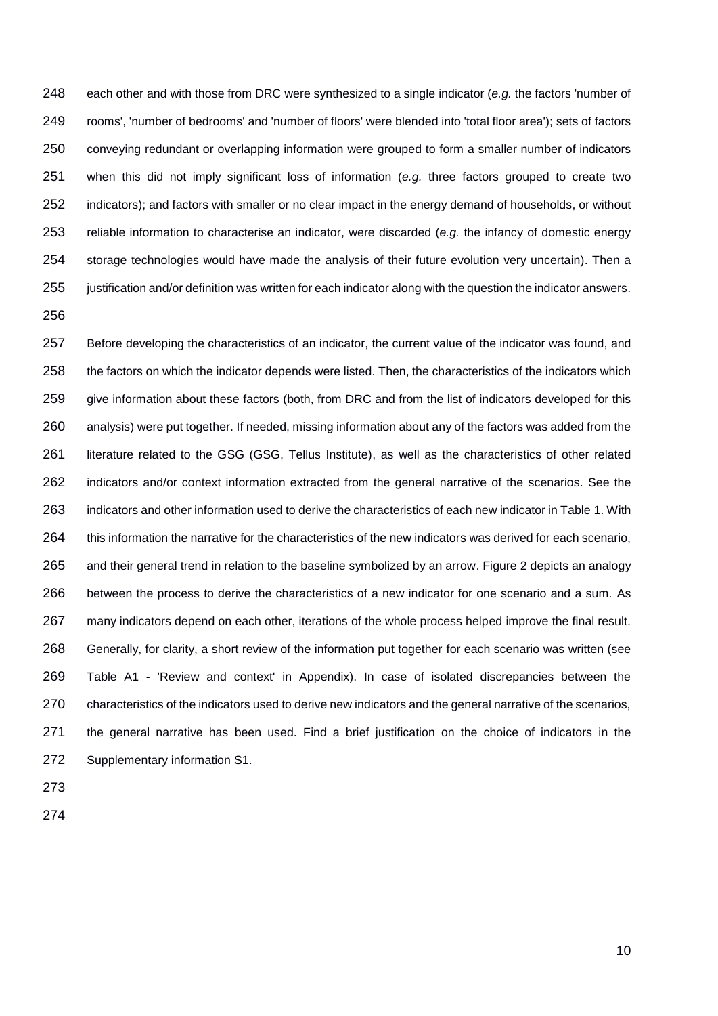each other and with those from DRC were synthesized to a single indicator (*e.g.* the factors 'number of rooms', 'number of bedrooms' and 'number of floors' were blended into 'total floor area'); sets of factors conveying redundant or overlapping information were grouped to form a smaller number of indicators when this did not imply significant loss of information (*e.g.* three factors grouped to create two indicators); and factors with smaller or no clear impact in the energy demand of households, or without reliable information to characterise an indicator, were discarded (*e.g.* the infancy of domestic energy storage technologies would have made the analysis of their future evolution very uncertain). Then a justification and/or definition was written for each indicator along with the question the indicator answers. 

 Before developing the characteristics of an indicator, the current value of the indicator was found, and 258 the factors on which the indicator depends were listed. Then, the characteristics of the indicators which give information about these factors (both, from DRC and from the list of indicators developed for this analysis) were put together. If needed, missing information about any of the factors was added from the 261 literature related to the GSG (GSG, Tellus Institute), as well as the characteristics of other related indicators and/or context information extracted from the general narrative of the scenarios. See the indicators and other information used to derive the characteristics of each new indicator in Table 1. With this information the narrative for the characteristics of the new indicators was derived for each scenario, and their general trend in relation to the baseline symbolized by an arrow. Figure 2 depicts an analogy between the process to derive the characteristics of a new indicator for one scenario and a sum. As many indicators depend on each other, iterations of the whole process helped improve the final result. Generally, for clarity, a short review of the information put together for each scenario was written (see Table A1 - 'Review and context' in Appendix). In case of isolated discrepancies between the characteristics of the indicators used to derive new indicators and the general narrative of the scenarios, the general narrative has been used. Find a brief justification on the choice of indicators in the Supplementary information S1.

- 
-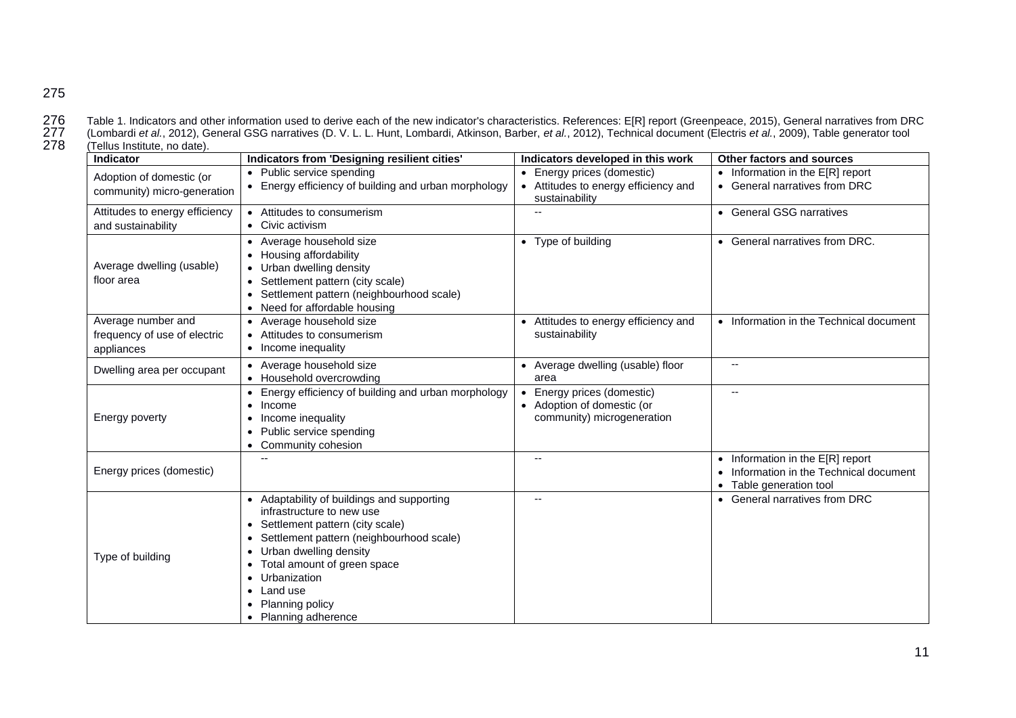276 Table 1. Indicators and other information used to derive each of the new indicator's characteristics. References: E[R] report (Greenpeace, 2015), General narratives from DRC<br>277 (Lombardi et al., 2012), General GSG nar 277 (Lombardi *et al.*, 2012), General GSG narratives (D. V. L. L. Hunt, Lombardi, Atkinson, Barber, *et al.*, 2012), Technical document (Electris *et al.*, 2009), Table generator tool  $(T$ ellus Institute, no date).

| <b>Indicator</b>                                                 | Indicators from 'Designing resilient cities'                                                                                                                                                                                                                                             | Indicators developed in this work                                                    | Other factors and sources                                                                                  |
|------------------------------------------------------------------|------------------------------------------------------------------------------------------------------------------------------------------------------------------------------------------------------------------------------------------------------------------------------------------|--------------------------------------------------------------------------------------|------------------------------------------------------------------------------------------------------------|
| Adoption of domestic (or<br>community) micro-generation          | • Public service spending<br>• Energy efficiency of building and urban morphology                                                                                                                                                                                                        | Energy prices (domestic)<br>• Attitudes to energy efficiency and<br>sustainability   | $\bullet$ Information in the E[R] report<br>• General narratives from DRC                                  |
| Attitudes to energy efficiency<br>and sustainability             | • Attitudes to consumerism<br>• Civic activism                                                                                                                                                                                                                                           |                                                                                      | • General GSG narratives                                                                                   |
| Average dwelling (usable)<br>floor area                          | • Average household size<br>• Housing affordability<br>• Urban dwelling density<br>• Settlement pattern (city scale)<br>Settlement pattern (neighbourhood scale)<br>• Need for affordable housing                                                                                        | Type of building<br>$\bullet$                                                        | • General narratives from DRC.                                                                             |
| Average number and<br>frequency of use of electric<br>appliances | • Average household size<br>• Attitudes to consumerism<br>• Income inequality                                                                                                                                                                                                            | Attitudes to energy efficiency and<br>$\bullet$<br>sustainability                    | • Information in the Technical document                                                                    |
| Dwelling area per occupant                                       | • Average household size<br>• Household overcrowding                                                                                                                                                                                                                                     | • Average dwelling (usable) floor<br>area                                            |                                                                                                            |
| Energy poverty                                                   | • Energy efficiency of building and urban morphology<br>$\bullet$ Income<br>Income inequality<br>• Public service spending<br>• Community cohesion                                                                                                                                       | Energy prices (domestic)<br>• Adoption of domestic (or<br>community) microgeneration |                                                                                                            |
| Energy prices (domestic)                                         |                                                                                                                                                                                                                                                                                          | $\overline{\phantom{a}}$                                                             | $\bullet$ Information in the E[R] report<br>Information in the Technical document<br>Table generation tool |
| Type of building                                                 | • Adaptability of buildings and supporting<br>infrastructure to new use<br>• Settlement pattern (city scale)<br>Settlement pattern (neighbourhood scale)<br>Urban dwelling density<br>Total amount of green space<br>Urbanization<br>Land use<br>Planning policy<br>• Planning adherence | $\overline{\phantom{a}}$                                                             | • General narratives from DRC                                                                              |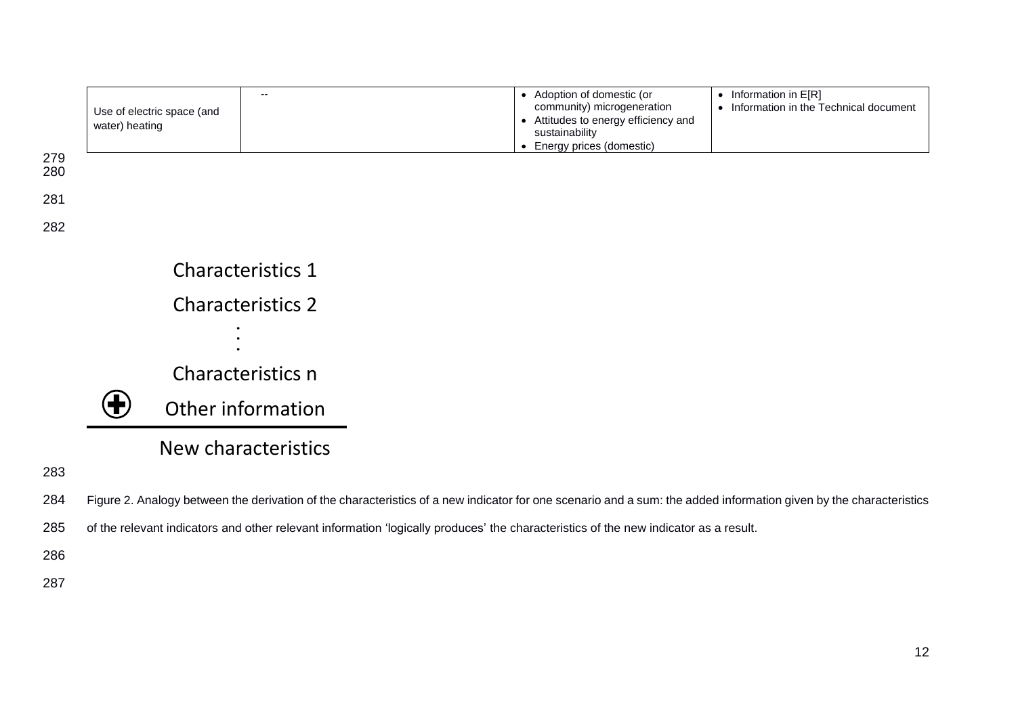

- 284 Figure 2. Analogy between the derivation of the characteristics of a new indicator for one scenario and a sum: the added information given by the characteristics
- 285 of the relevant indicators and other relevant information 'logically produces' the characteristics of the new indicator as a result.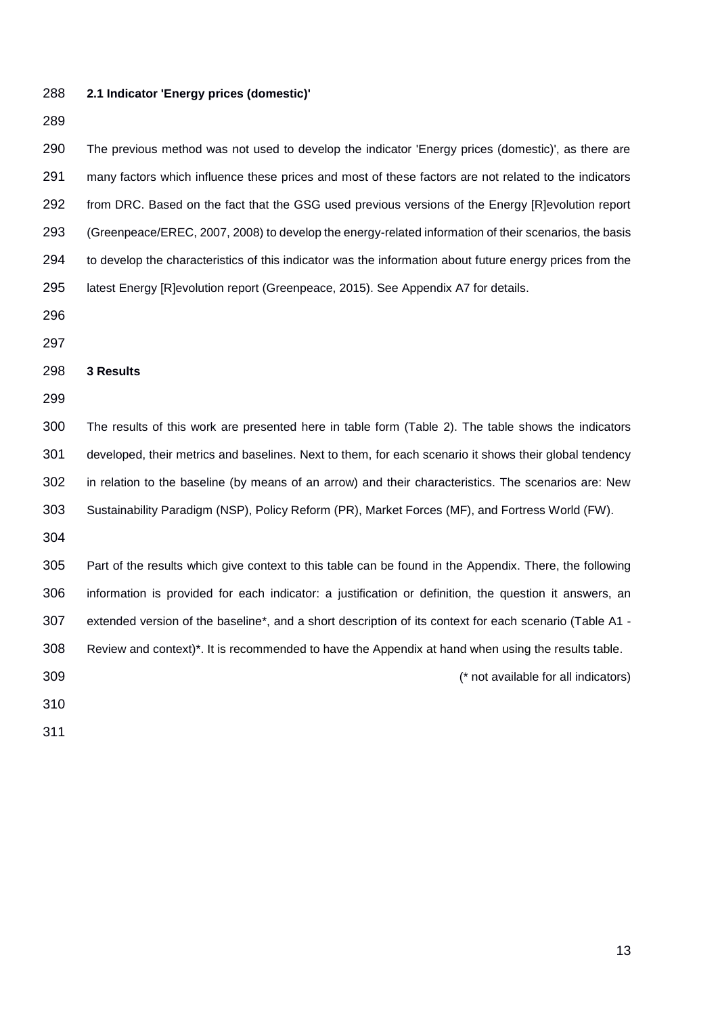### **2.1 Indicator 'Energy prices (domestic)'**

 The previous method was not used to develop the indicator 'Energy prices (domestic)', as there are many factors which influence these prices and most of these factors are not related to the indicators 292 from DRC. Based on the fact that the GSG used previous versions of the Energy [R]evolution report (Greenpeace/EREC, 2007, 2008) to develop the energy-related information of their scenarios, the basis to develop the characteristics of this indicator was the information about future energy prices from the latest Energy [R]evolution report (Greenpeace, 2015). See Appendix A7 for details.

#### **3 Results**

 The results of this work are presented here in table form (Table 2). The table shows the indicators developed, their metrics and baselines. Next to them, for each scenario it shows their global tendency in relation to the baseline (by means of an arrow) and their characteristics. The scenarios are: New Sustainability Paradigm (NSP), Policy Reform (PR), Market Forces (MF), and Fortress World (FW).

 Part of the results which give context to this table can be found in the Appendix. There, the following information is provided for each indicator: a justification or definition, the question it answers, an extended version of the baseline\*, and a short description of its context for each scenario (Table A1 - Review and context)\*. It is recommended to have the Appendix at hand when using the results table. (\* not available for all indicators)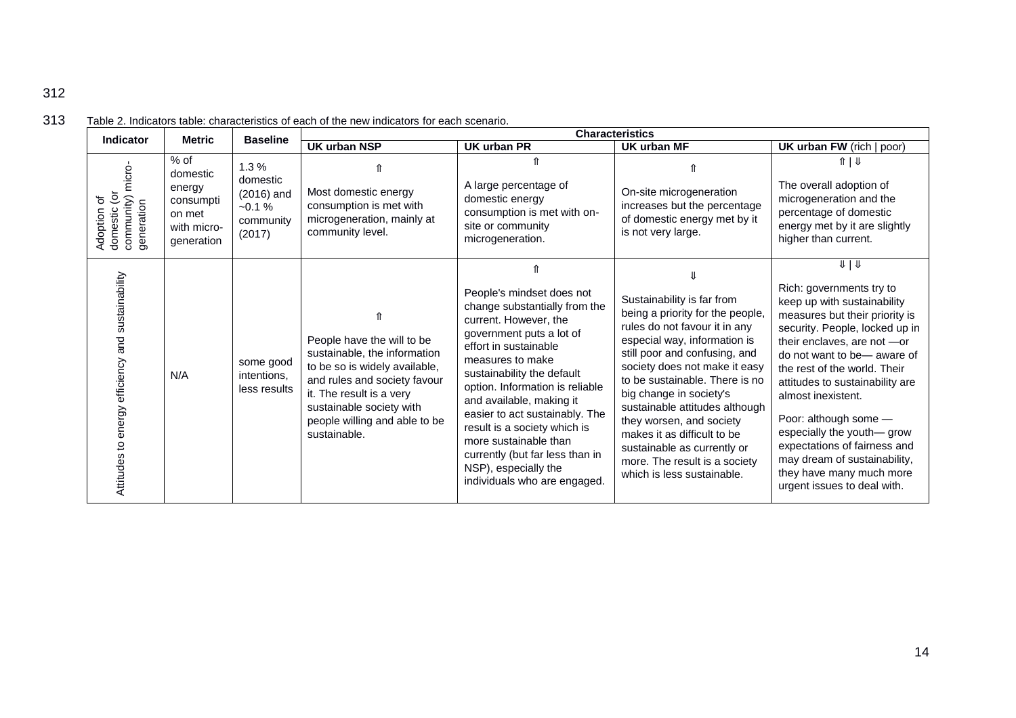| Indicator                                                                          | <b>Metric</b>                                                                    | <b>Baseline</b>                                                    | <b>Characteristics</b>                                                                                                                                                                                                               |                                                                                                                                                                                                                                                                                                                                                                                                                                                 |                                                                                                                                                                                                                                                                                                                                                                                                                                                           |                                                                                                                                                                                                                                                                                                                                                                                                                                                                                        |
|------------------------------------------------------------------------------------|----------------------------------------------------------------------------------|--------------------------------------------------------------------|--------------------------------------------------------------------------------------------------------------------------------------------------------------------------------------------------------------------------------------|-------------------------------------------------------------------------------------------------------------------------------------------------------------------------------------------------------------------------------------------------------------------------------------------------------------------------------------------------------------------------------------------------------------------------------------------------|-----------------------------------------------------------------------------------------------------------------------------------------------------------------------------------------------------------------------------------------------------------------------------------------------------------------------------------------------------------------------------------------------------------------------------------------------------------|----------------------------------------------------------------------------------------------------------------------------------------------------------------------------------------------------------------------------------------------------------------------------------------------------------------------------------------------------------------------------------------------------------------------------------------------------------------------------------------|
|                                                                                    |                                                                                  |                                                                    | <b>UK urban NSP</b>                                                                                                                                                                                                                  | <b>UK urban PR</b>                                                                                                                                                                                                                                                                                                                                                                                                                              | <b>UK urban MF</b>                                                                                                                                                                                                                                                                                                                                                                                                                                        | <b>UK urban FW</b> (rich   poor)                                                                                                                                                                                                                                                                                                                                                                                                                                                       |
| community) micro-<br>generation<br>$\tilde{\mathsf{S}}$<br>Adoption of<br>domestic | $%$ of<br>domestic<br>energy<br>consumpti<br>on met<br>with micro-<br>generation | 1.3%<br>domestic<br>$(2016)$ and<br>$-0.1%$<br>community<br>(2017) | Most domestic energy<br>consumption is met with<br>microgeneration, mainly at<br>community level.                                                                                                                                    | A large percentage of<br>domestic energy<br>consumption is met with on-<br>site or community<br>microgeneration.                                                                                                                                                                                                                                                                                                                                | On-site microgeneration<br>increases but the percentage<br>of domestic energy met by it<br>is not very large.                                                                                                                                                                                                                                                                                                                                             | $\frac{1}{2}$<br>The overall adoption of<br>microgeneration and the<br>percentage of domestic<br>energy met by it are slightly<br>higher than current.                                                                                                                                                                                                                                                                                                                                 |
| sustainability<br>and<br>efficiency<br>energy<br>Attitudes to                      | N/A                                                                              | some good<br>intentions,<br>less results                           | People have the will to be<br>sustainable, the information<br>to be so is widely available,<br>and rules and society favour<br>it. The result is a very<br>sustainable society with<br>people willing and able to be<br>sustainable. | People's mindset does not<br>change substantially from the<br>current. However, the<br>government puts a lot of<br>effort in sustainable<br>measures to make<br>sustainability the default<br>option. Information is reliable<br>and available, making it<br>easier to act sustainably. The<br>result is a society which is<br>more sustainable than<br>currently (but far less than in<br>NSP), especially the<br>individuals who are engaged. | Sustainability is far from<br>being a priority for the people,<br>rules do not favour it in any<br>especial way, information is<br>still poor and confusing, and<br>society does not make it easy<br>to be sustainable. There is no<br>big change in society's<br>sustainable attitudes although<br>they worsen, and society<br>makes it as difficult to be<br>sustainable as currently or<br>more. The result is a society<br>which is less sustainable. | $U \downarrow U$<br>Rich: governments try to<br>keep up with sustainability<br>measures but their priority is<br>security. People, locked up in<br>their enclaves, are not -or<br>do not want to be-aware of<br>the rest of the world. Their<br>attitudes to sustainability are<br>almost inexistent.<br>Poor: although some -<br>especially the youth-grow<br>expectations of fairness and<br>may dream of sustainability,<br>they have many much more<br>urgent issues to deal with. |

## 313 Table 2. Indicators table: characteristics of each of the new indicators for each scenario.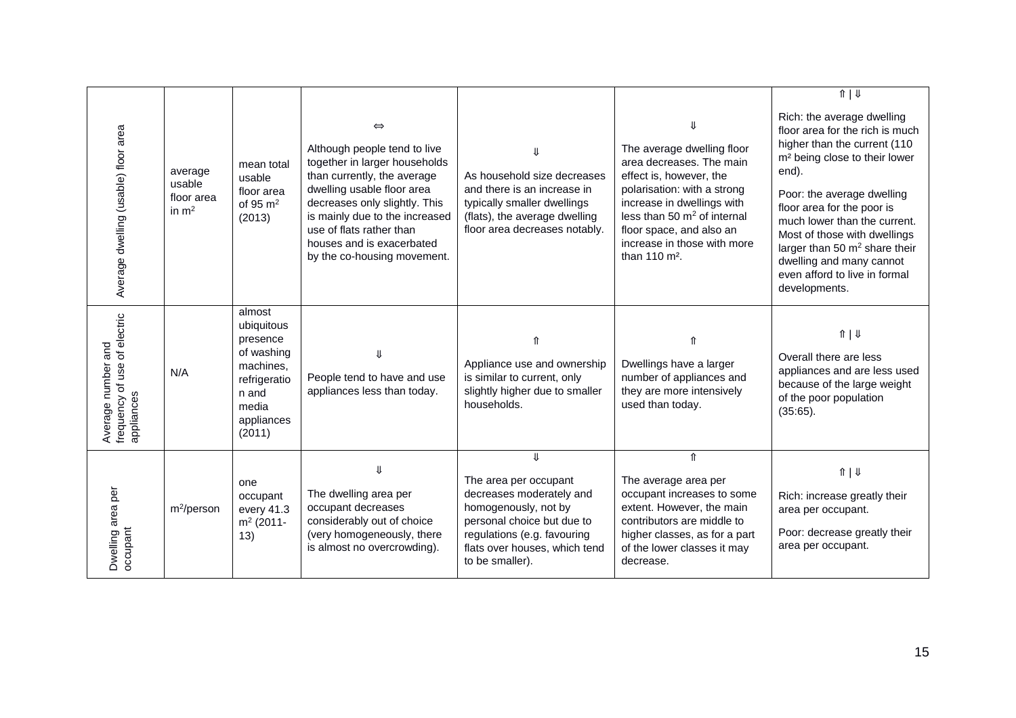| Average dwelling (usable) floor area                             | average<br>usable<br>floor area<br>in $m2$ | mean total<br>usable<br>floor area<br>of 95 $m2$<br>(2013)                                                            | $\Leftrightarrow$<br>Although people tend to live<br>together in larger households<br>than currently, the average<br>dwelling usable floor area<br>decreases only slightly. This<br>is mainly due to the increased<br>use of flats rather than<br>houses and is exacerbated<br>by the co-housing movement. | As household size decreases<br>and there is an increase in<br>typically smaller dwellings<br>(flats), the average dwelling<br>floor area decreases notably.                                      | The average dwelling floor<br>area decreases. The main<br>effect is, however, the<br>polarisation: with a strong<br>increase in dwellings with<br>less than 50 $m2$ of internal<br>floor space, and also an<br>increase in those with more<br>than 110 m <sup>2</sup> . | $\sqrt{\frac{1}{2}}$<br>Rich: the average dwelling<br>floor area for the rich is much<br>higher than the current (110<br>m <sup>2</sup> being close to their lower<br>end).<br>Poor: the average dwelling<br>floor area for the poor is<br>much lower than the current.<br>Most of those with dwellings<br>larger than 50 $m2$ share their<br>dwelling and many cannot<br>even afford to live in formal<br>developments. |
|------------------------------------------------------------------|--------------------------------------------|-----------------------------------------------------------------------------------------------------------------------|------------------------------------------------------------------------------------------------------------------------------------------------------------------------------------------------------------------------------------------------------------------------------------------------------------|--------------------------------------------------------------------------------------------------------------------------------------------------------------------------------------------------|-------------------------------------------------------------------------------------------------------------------------------------------------------------------------------------------------------------------------------------------------------------------------|--------------------------------------------------------------------------------------------------------------------------------------------------------------------------------------------------------------------------------------------------------------------------------------------------------------------------------------------------------------------------------------------------------------------------|
| frequency of use of electric<br>Average number and<br>appliances | N/A                                        | almost<br>ubiquitous<br>presence<br>of washing<br>machines,<br>refrigeratio<br>n and<br>media<br>appliances<br>(2011) | People tend to have and use<br>appliances less than today.                                                                                                                                                                                                                                                 | Appliance use and ownership<br>is similar to current, only<br>slightly higher due to smaller<br>households.                                                                                      | Dwellings have a larger<br>number of appliances and<br>they are more intensively<br>used than today.                                                                                                                                                                    | $\hat{\mathbb{I}}$   $\mathbb{I}$<br>Overall there are less<br>appliances and are less used<br>because of the large weight<br>of the poor population<br>$(35:65)$ .                                                                                                                                                                                                                                                      |
| Dwelling area per<br>occupant                                    | $m^2$ /person                              | one<br>occupant<br>every 41.3<br>m <sup>2</sup> (2011-<br>13)                                                         | $\mathbf{I}$<br>The dwelling area per<br>occupant decreases<br>considerably out of choice<br>(very homogeneously, there<br>is almost no overcrowding).                                                                                                                                                     | JL<br>The area per occupant<br>decreases moderately and<br>homogenously, not by<br>personal choice but due to<br>regulations (e.g. favouring<br>flats over houses, which tend<br>to be smaller). | ⇑<br>The average area per<br>occupant increases to some<br>extent. However, the main<br>contributors are middle to<br>higher classes, as for a part<br>of the lower classes it may<br>decrease.                                                                         | $\frac{1}{2}$<br>Rich: increase greatly their<br>area per occupant.<br>Poor: decrease greatly their<br>area per occupant.                                                                                                                                                                                                                                                                                                |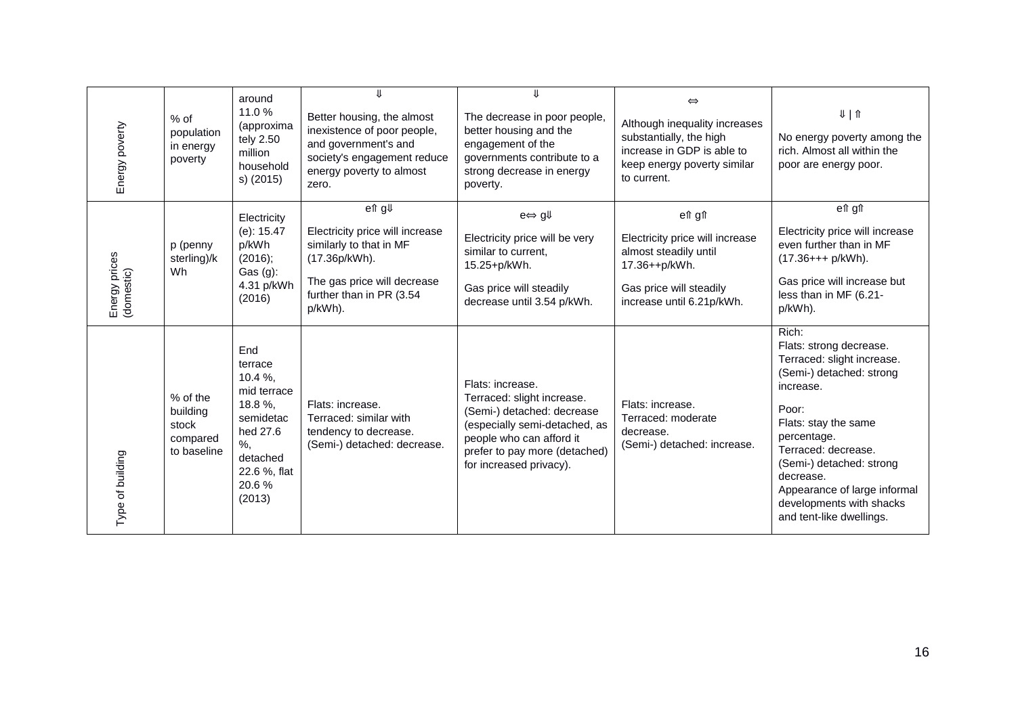| Energy poverty              | $%$ of<br>population<br>in energy<br>poverty             | around<br>11.0%<br>(approxima<br>tely 2.50<br>million<br>household<br>s) (2015)                                                          | Better housing, the almost<br>inexistence of poor people,<br>and government's and<br>society's engagement reduce<br>energy poverty to almost<br>zero.      | ⇓<br>The decrease in poor people,<br>better housing and the<br>engagement of the<br>governments contribute to a<br>strong decrease in energy<br>poverty.                                              | $\Leftrightarrow$<br>Although inequality increases<br>substantially, the high<br>increase in GDP is able to<br>keep energy poverty similar<br>to current. | $U \mid \textbf{1}$<br>No energy poverty among the<br>rich. Almost all within the<br>poor are energy poor.                                                                                                                                                                                                      |
|-----------------------------|----------------------------------------------------------|------------------------------------------------------------------------------------------------------------------------------------------|------------------------------------------------------------------------------------------------------------------------------------------------------------|-------------------------------------------------------------------------------------------------------------------------------------------------------------------------------------------------------|-----------------------------------------------------------------------------------------------------------------------------------------------------------|-----------------------------------------------------------------------------------------------------------------------------------------------------------------------------------------------------------------------------------------------------------------------------------------------------------------|
| Energy prices<br>(domestic) | p (penny<br>sterling)/k<br>Wh                            | Electricity<br>$(e)$ : 15.47<br>p/kWh<br>(2016);<br>Gas (g):<br>4.31 p/kWh<br>(2016)                                                     | en g↓<br>Electricity price will increase<br>similarly to that in MF<br>(17.36p/kWh).<br>The gas price will decrease<br>further than in PR (3.54<br>p/kWh). | $e \Leftrightarrow g \Downarrow$<br>Electricity price will be very<br>similar to current,<br>15.25+p/kWh.<br>Gas price will steadily<br>decrease until 3.54 p/kWh.                                    | en gn<br>Electricity price will increase<br>almost steadily until<br>17.36++p/kWh.<br>Gas price will steadily<br>increase until 6.21p/kWh.                | en gn<br>Electricity price will increase<br>even further than in MF<br>$(17.36++p/kWh)$ .<br>Gas price will increase but<br>less than in MF (6.21-<br>p/kWh).                                                                                                                                                   |
| Type of building            | % of the<br>building<br>stock<br>compared<br>to baseline | End<br>terrace<br>$10.4 \%$ ,<br>mid terrace<br>18.8%,<br>semidetac<br>hed 27.6<br>$\%$ ,<br>detached<br>22.6 %, flat<br>20.6%<br>(2013) | Flats: increase.<br>Terraced: similar with<br>tendency to decrease.<br>(Semi-) detached: decrease.                                                         | Flats: increase.<br>Terraced: slight increase.<br>(Semi-) detached: decrease<br>(especially semi-detached, as<br>people who can afford it<br>prefer to pay more (detached)<br>for increased privacy). | Flats: increase.<br>Terraced: moderate<br>decrease.<br>(Semi-) detached: increase.                                                                        | Rich:<br>Flats: strong decrease.<br>Terraced: slight increase.<br>(Semi-) detached: strong<br>increase.<br>Poor:<br>Flats: stay the same<br>percentage.<br>Terraced: decrease.<br>(Semi-) detached: strong<br>decrease.<br>Appearance of large informal<br>developments with shacks<br>and tent-like dwellings. |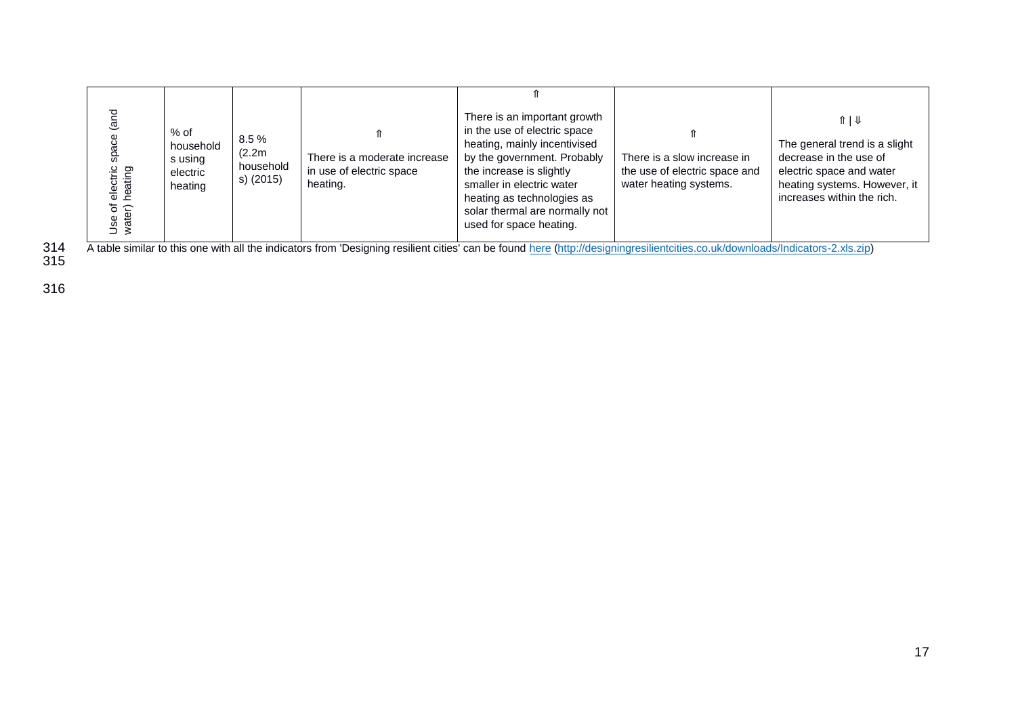| (and<br>There is an important growth<br>$\hat{\pi}$   $\psi$<br>in the use of electric space<br>$%$ of<br>space<br>8.5%<br>heating, mainly incentivised<br>The general trend is a slight<br>household<br>(2.2m)<br>by the government. Probably<br>decrease in the use of<br>There is a moderate increase<br>There is a slow increase in<br>s using<br>household<br>electric<br>heating<br>the increase is slightly<br>in use of electric space<br>electric space and water<br>the use of electric space and<br>electric<br>s) (2015)<br>smaller in electric water<br>water heating systems.<br>heating systems. However, it<br>heating.<br>heating<br>increases within the rich.<br>heating as technologies as<br>Use of<br>water)<br>solar thermal are normally not<br>used for space heating.<br>A table similar to this one with all the indicators from 'Designing resilient cities' can be found here (http://designingresilientcities.co.uk/downloads/Indicators-2.xls.zip) |
|-----------------------------------------------------------------------------------------------------------------------------------------------------------------------------------------------------------------------------------------------------------------------------------------------------------------------------------------------------------------------------------------------------------------------------------------------------------------------------------------------------------------------------------------------------------------------------------------------------------------------------------------------------------------------------------------------------------------------------------------------------------------------------------------------------------------------------------------------------------------------------------------------------------------------------------------------------------------------------------|
|-----------------------------------------------------------------------------------------------------------------------------------------------------------------------------------------------------------------------------------------------------------------------------------------------------------------------------------------------------------------------------------------------------------------------------------------------------------------------------------------------------------------------------------------------------------------------------------------------------------------------------------------------------------------------------------------------------------------------------------------------------------------------------------------------------------------------------------------------------------------------------------------------------------------------------------------------------------------------------------|

314<br>315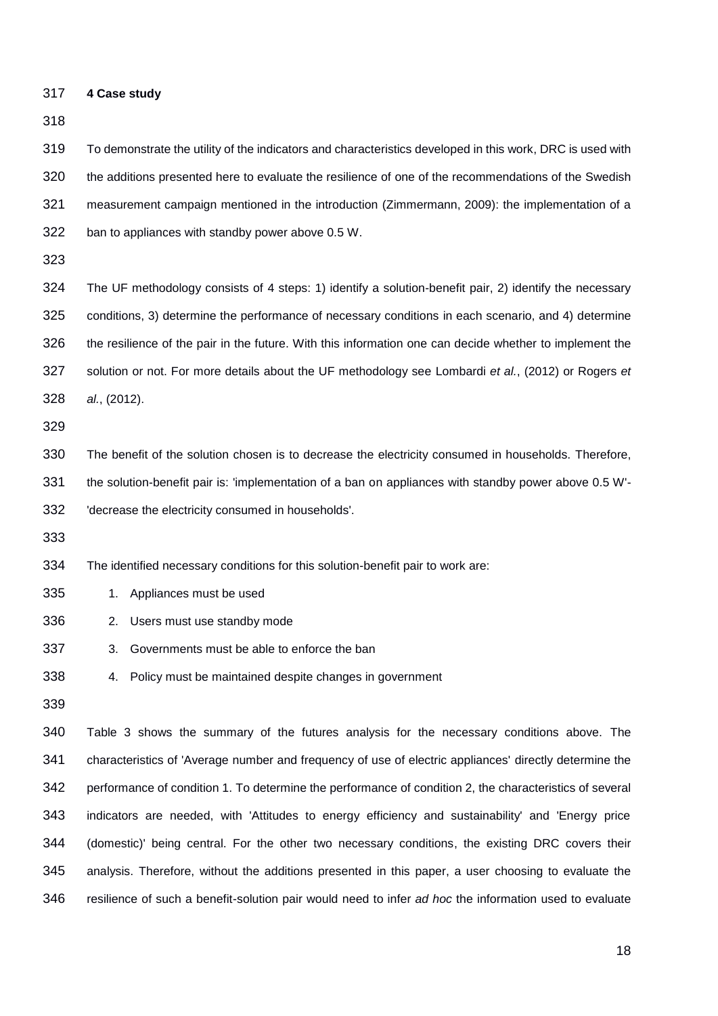**4 Case study**

 To demonstrate the utility of the indicators and characteristics developed in this work, DRC is used with the additions presented here to evaluate the resilience of one of the recommendations of the Swedish measurement campaign mentioned in the introduction (Zimmermann, 2009): the implementation of a ban to appliances with standby power above 0.5 W.

 The UF methodology consists of 4 steps: 1) identify a solution-benefit pair, 2) identify the necessary conditions, 3) determine the performance of necessary conditions in each scenario, and 4) determine the resilience of the pair in the future. With this information one can decide whether to implement the solution or not. For more details about the UF methodology see Lombardi *et al.*, (2012) or Rogers *et al.*, (2012).

 The benefit of the solution chosen is to decrease the electricity consumed in households. Therefore, the solution-benefit pair is: 'implementation of a ban on appliances with standby power above 0.5 W'- 'decrease the electricity consumed in households'.

The identified necessary conditions for this solution-benefit pair to work are:

- 1. Appliances must be used
- 2. Users must use standby mode
- 3. Governments must be able to enforce the ban
- 4. Policy must be maintained despite changes in government
- 

 Table 3 shows the summary of the futures analysis for the necessary conditions above. The characteristics of 'Average number and frequency of use of electric appliances' directly determine the performance of condition 1. To determine the performance of condition 2, the characteristics of several indicators are needed, with 'Attitudes to energy efficiency and sustainability' and 'Energy price (domestic)' being central. For the other two necessary conditions, the existing DRC covers their analysis. Therefore, without the additions presented in this paper, a user choosing to evaluate the resilience of such a benefit-solution pair would need to infer *ad hoc* the information used to evaluate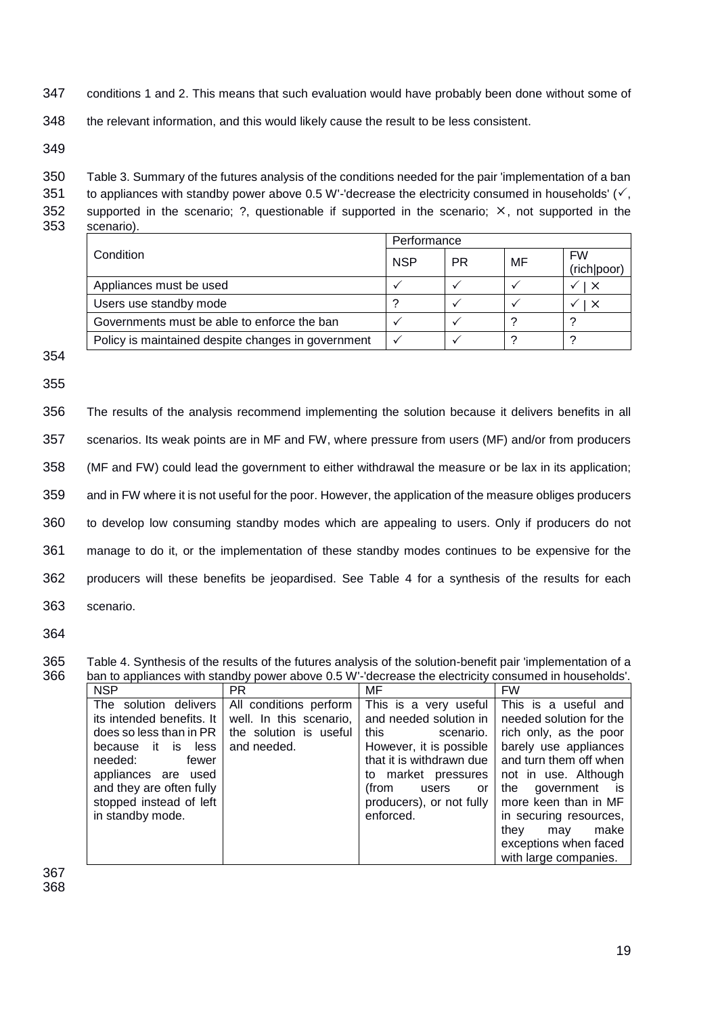- 347 conditions 1 and 2. This means that such evaluation would have probably been done without some of
- 348 the relevant information, and this would likely cause the result to be less consistent.

350 Table 3. Summary of the futures analysis of the conditions needed for the pair 'implementation of a ban 351 to appliances with standby power above 0.5 W'-'decrease the electricity consumed in households'  $(\checkmark)$ , 352 supported in the scenario; ?, questionable if supported in the scenario;  $\times$ , not supported in the 353 scenario).

|                                                    | Performance |    |    |                          |
|----------------------------------------------------|-------------|----|----|--------------------------|
| Condition                                          | <b>NSP</b>  | РR | MF | <b>FW</b><br>(rich poor) |
| Appliances must be used                            |             |    |    | $\times$                 |
| Users use standby mode                             |             |    |    | $\times$                 |
| Governments must be able to enforce the ban        |             |    |    |                          |
| Policy is maintained despite changes in government |             |    |    |                          |

354

355

 The results of the analysis recommend implementing the solution because it delivers benefits in all scenarios. Its weak points are in MF and FW, where pressure from users (MF) and/or from producers (MF and FW) could lead the government to either withdrawal the measure or be lax in its application; and in FW where it is not useful for the poor. However, the application of the measure obliges producers to develop low consuming standby modes which are appealing to users. Only if producers do not manage to do it, or the implementation of these standby modes continues to be expensive for the producers will these benefits be jeopardised. See Table 4 for a synthesis of the results for each scenario.

364

<sup>365</sup> Table 4. Synthesis of the results of the futures analysis of the solution-benefit pair 'implementation of a 366 ban to appliances with standby power above 0.5 W'-'decrease the electricity consumed in households'.

| <b>NSP</b>                                                                                                                                                                                                                  | PR.                                                                                        | MF                                                                                                                                                                                                                  | <b>FW</b>                                                                                                                                                                                                                                                                                               |
|-----------------------------------------------------------------------------------------------------------------------------------------------------------------------------------------------------------------------------|--------------------------------------------------------------------------------------------|---------------------------------------------------------------------------------------------------------------------------------------------------------------------------------------------------------------------|---------------------------------------------------------------------------------------------------------------------------------------------------------------------------------------------------------------------------------------------------------------------------------------------------------|
| The solution delivers<br>its intended benefits. It<br>does so less than in PR  <br>because it is less<br>needed:<br>fewer<br>appliances are used<br>and they are often fully<br>stopped instead of left<br>in standby mode. | All conditions perform<br>well. In this scenario,<br>the solution is useful<br>and needed. | This is a very useful<br>and needed solution in<br>this<br>scenario.<br>However, it is possible<br>that it is withdrawn due<br>to market pressures<br>(from<br>or<br>users<br>producers), or not fully<br>enforced. | This is a useful and<br>needed solution for the<br>rich only, as the poor<br>barely use appliances<br>and turn them off when<br>not in use. Although<br>government is<br>the<br>more keen than in MF<br>in securing resources,<br>make<br>they<br>may<br>exceptions when faced<br>with large companies. |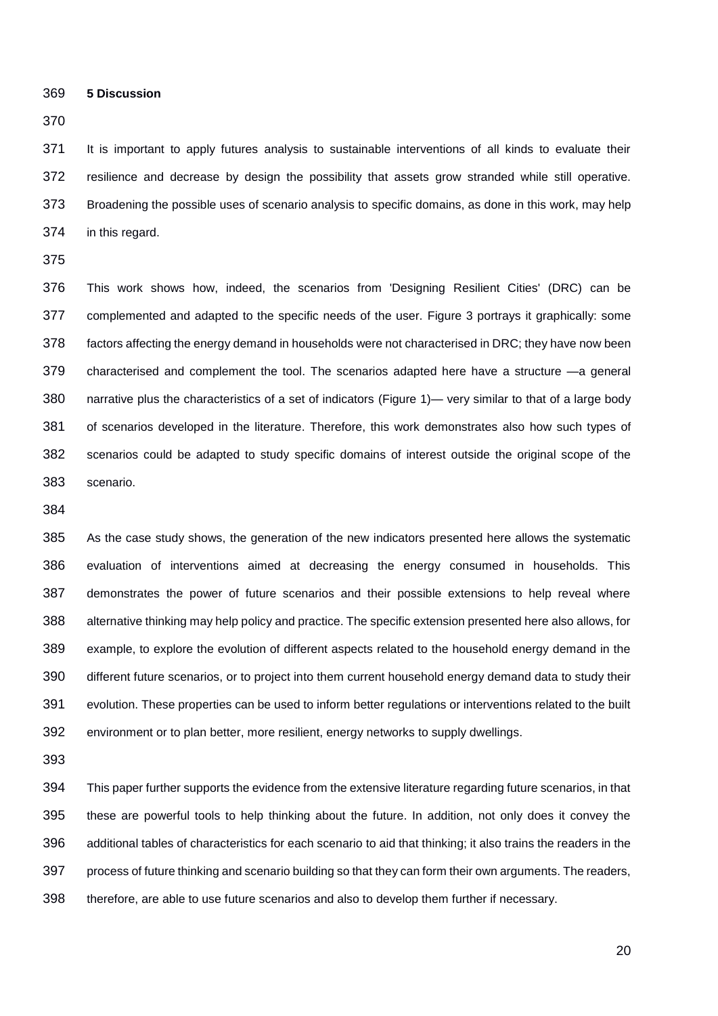**5 Discussion**

 It is important to apply futures analysis to sustainable interventions of all kinds to evaluate their resilience and decrease by design the possibility that assets grow stranded while still operative. Broadening the possible uses of scenario analysis to specific domains, as done in this work, may help in this regard.

 This work shows how, indeed, the scenarios from 'Designing Resilient Cities' (DRC) can be complemented and adapted to the specific needs of the user. Figure 3 portrays it graphically: some factors affecting the energy demand in households were not characterised in DRC; they have now been characterised and complement the tool. The scenarios adapted here have a structure —a general narrative plus the characteristics of a set of indicators (Figure 1)— very similar to that of a large body of scenarios developed in the literature. Therefore, this work demonstrates also how such types of scenarios could be adapted to study specific domains of interest outside the original scope of the scenario.

 As the case study shows, the generation of the new indicators presented here allows the systematic evaluation of interventions aimed at decreasing the energy consumed in households. This demonstrates the power of future scenarios and their possible extensions to help reveal where alternative thinking may help policy and practice. The specific extension presented here also allows, for example, to explore the evolution of different aspects related to the household energy demand in the different future scenarios, or to project into them current household energy demand data to study their evolution. These properties can be used to inform better regulations or interventions related to the built environment or to plan better, more resilient, energy networks to supply dwellings.

 This paper further supports the evidence from the extensive literature regarding future scenarios, in that these are powerful tools to help thinking about the future. In addition, not only does it convey the additional tables of characteristics for each scenario to aid that thinking; it also trains the readers in the process of future thinking and scenario building so that they can form their own arguments. The readers, therefore, are able to use future scenarios and also to develop them further if necessary.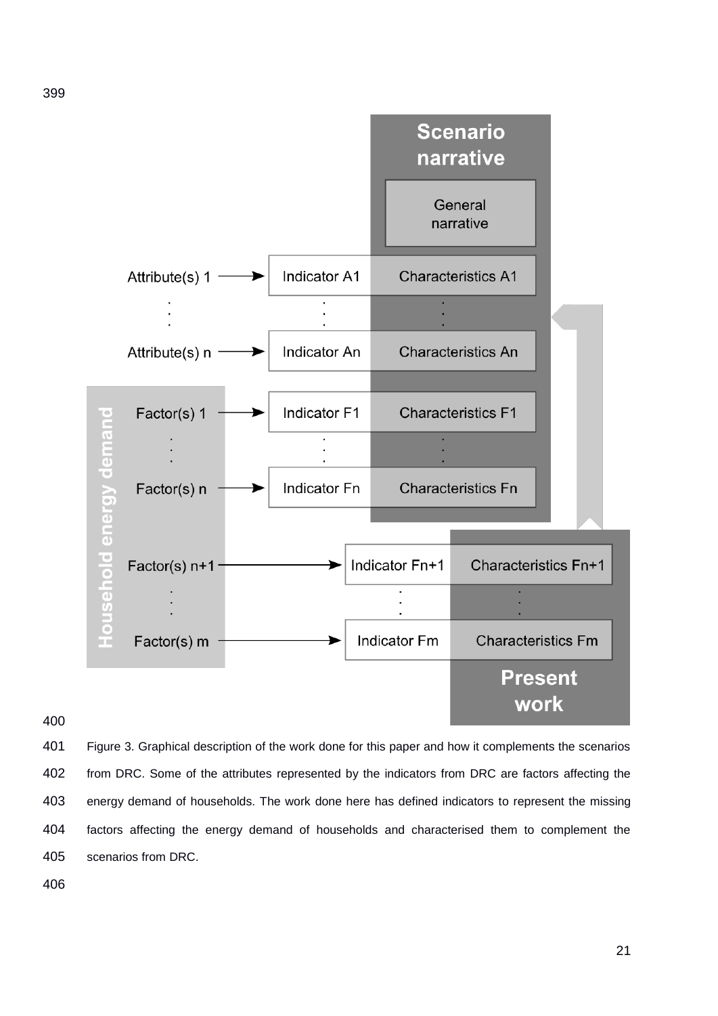

 Figure 3. Graphical description of the work done for this paper and how it complements the scenarios from DRC. Some of the attributes represented by the indicators from DRC are factors affecting the energy demand of households. The work done here has defined indicators to represent the missing factors affecting the energy demand of households and characterised them to complement the scenarios from DRC.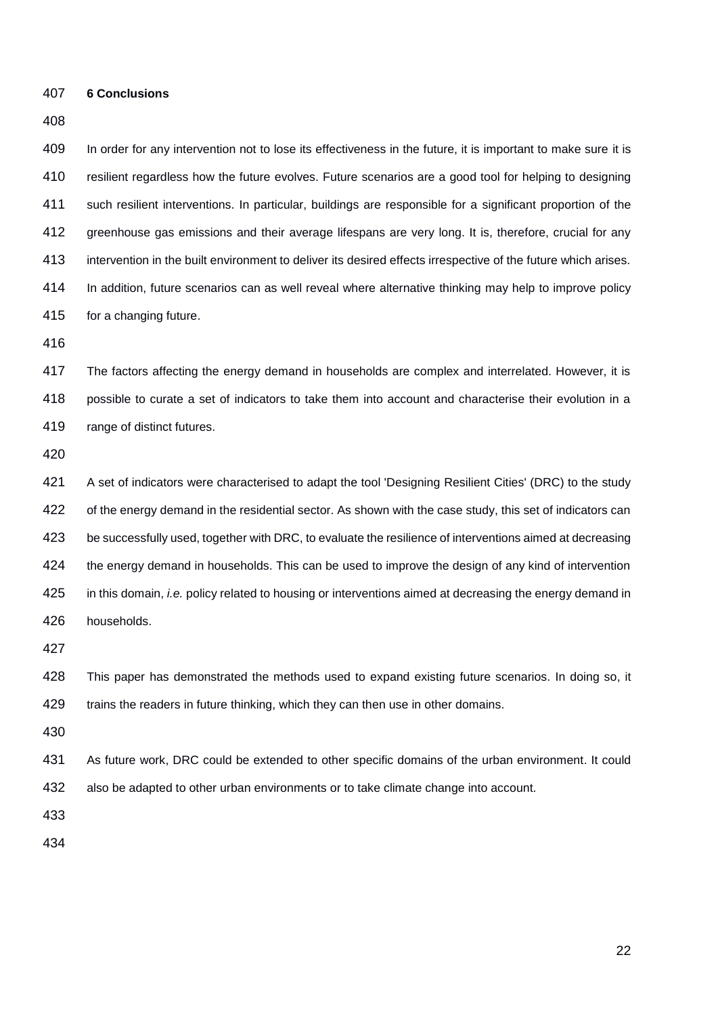**6 Conclusions**

#### 

 In order for any intervention not to lose its effectiveness in the future, it is important to make sure it is resilient regardless how the future evolves. Future scenarios are a good tool for helping to designing such resilient interventions. In particular, buildings are responsible for a significant proportion of the greenhouse gas emissions and their average lifespans are very long. It is, therefore, crucial for any intervention in the built environment to deliver its desired effects irrespective of the future which arises. In addition, future scenarios can as well reveal where alternative thinking may help to improve policy for a changing future.

 The factors affecting the energy demand in households are complex and interrelated. However, it is possible to curate a set of indicators to take them into account and characterise their evolution in a range of distinct futures.

 A set of indicators were characterised to adapt the tool 'Designing Resilient Cities' (DRC) to the study 422 of the energy demand in the residential sector. As shown with the case study, this set of indicators can be successfully used, together with DRC, to evaluate the resilience of interventions aimed at decreasing the energy demand in households. This can be used to improve the design of any kind of intervention in this domain, *i.e.* policy related to housing or interventions aimed at decreasing the energy demand in households.

 This paper has demonstrated the methods used to expand existing future scenarios. In doing so, it trains the readers in future thinking, which they can then use in other domains.

 As future work, DRC could be extended to other specific domains of the urban environment. It could also be adapted to other urban environments or to take climate change into account.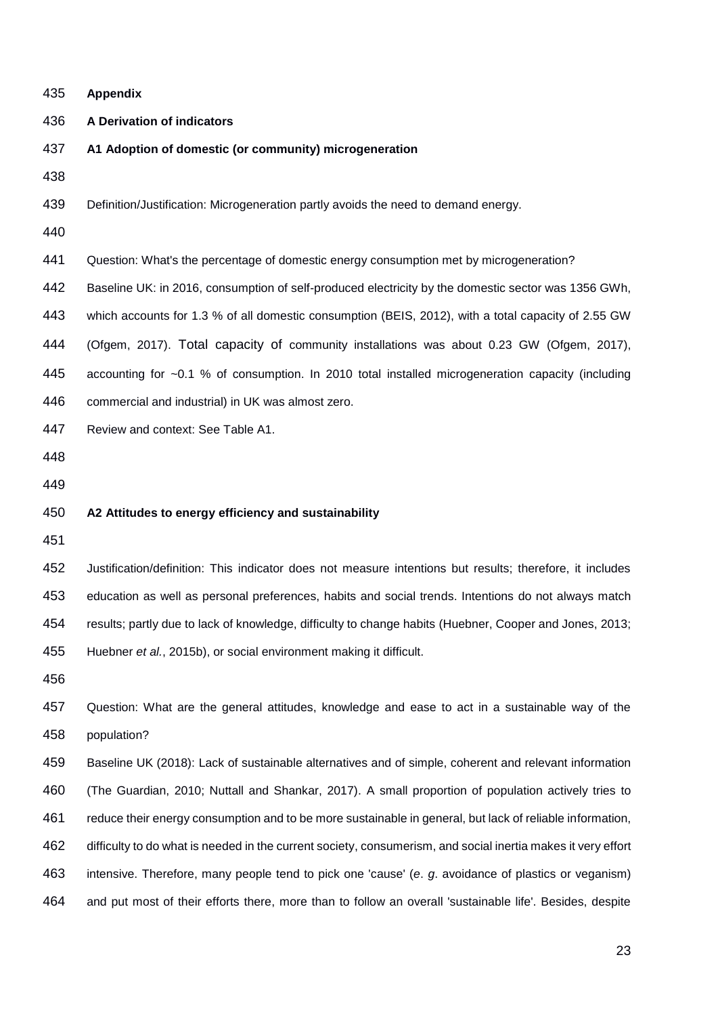| 435 | <b>Appendix</b>                                                                                              |
|-----|--------------------------------------------------------------------------------------------------------------|
| 436 | A Derivation of indicators                                                                                   |
| 437 | A1 Adoption of domestic (or community) microgeneration                                                       |
| 438 |                                                                                                              |
| 439 | Definition/Justification: Microgeneration partly avoids the need to demand energy.                           |
| 440 |                                                                                                              |
| 441 | Question: What's the percentage of domestic energy consumption met by microgeneration?                       |
| 442 | Baseline UK: in 2016, consumption of self-produced electricity by the domestic sector was 1356 GWh,          |
| 443 | which accounts for 1.3 % of all domestic consumption (BEIS, 2012), with a total capacity of 2.55 GW          |
| 444 | (Ofgem, 2017). Total capacity of community installations was about 0.23 GW (Ofgem, 2017),                    |
| 445 | accounting for ~0.1 % of consumption. In 2010 total installed microgeneration capacity (including            |
| 446 | commercial and industrial) in UK was almost zero.                                                            |
| 447 | Review and context: See Table A1.                                                                            |
| 448 |                                                                                                              |
| 449 |                                                                                                              |
| 450 | A2 Attitudes to energy efficiency and sustainability                                                         |
| 451 |                                                                                                              |
| 452 | Justification/definition: This indicator does not measure intentions but results; therefore, it includes     |
| 453 | education as well as personal preferences, habits and social trends. Intentions do not always match          |
| 454 | results; partly due to lack of knowledge, difficulty to change habits (Huebner, Cooper and Jones, 2013;      |
| 455 | Huebner et al., 2015b), or social environment making it difficult.                                           |
| 456 |                                                                                                              |
| 457 | Question: What are the general attitudes, knowledge and ease to act in a sustainable way of the              |
| 458 | population?                                                                                                  |
| 459 | Baseline UK (2018): Lack of sustainable alternatives and of simple, coherent and relevant information        |
| 460 | (The Guardian, 2010; Nuttall and Shankar, 2017). A small proportion of population actively tries to          |
| 461 | reduce their energy consumption and to be more sustainable in general, but lack of reliable information,     |
| 462 | difficulty to do what is needed in the current society, consumerism, and social inertia makes it very effort |
| 463 |                                                                                                              |
|     | intensive. Therefore, many people tend to pick one 'cause' (e. g. avoidance of plastics or veganism)         |
| 464 | and put most of their efforts there, more than to follow an overall 'sustainable life'. Besides, despite     |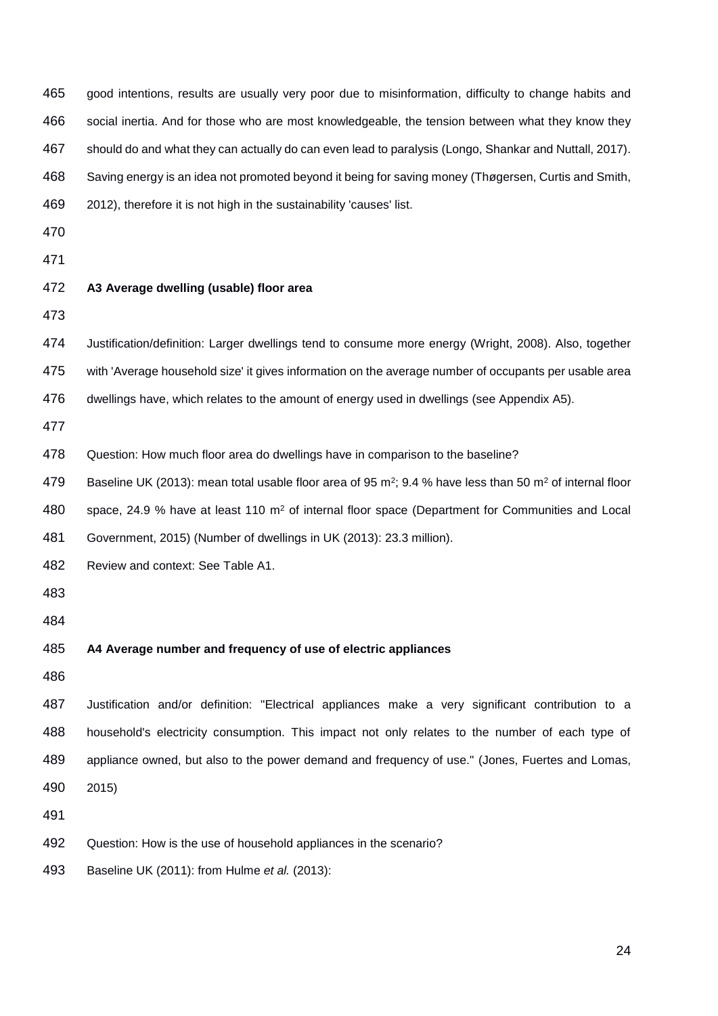| 465 | good intentions, results are usually very poor due to misinformation, difficulty to change habits and                            |
|-----|----------------------------------------------------------------------------------------------------------------------------------|
| 466 | social inertia. And for those who are most knowledgeable, the tension between what they know they                                |
| 467 | should do and what they can actually do can even lead to paralysis (Longo, Shankar and Nuttall, 2017).                           |
| 468 | Saving energy is an idea not promoted beyond it being for saving money (Thøgersen, Curtis and Smith,                             |
| 469 | 2012), therefore it is not high in the sustainability 'causes' list.                                                             |
| 470 |                                                                                                                                  |
| 471 |                                                                                                                                  |
| 472 | A3 Average dwelling (usable) floor area                                                                                          |
| 473 |                                                                                                                                  |
| 474 | Justification/definition: Larger dwellings tend to consume more energy (Wright, 2008). Also, together                            |
| 475 | with 'Average household size' it gives information on the average number of occupants per usable area                            |
| 476 | dwellings have, which relates to the amount of energy used in dwellings (see Appendix A5).                                       |
| 477 |                                                                                                                                  |
| 478 | Question: How much floor area do dwellings have in comparison to the baseline?                                                   |
| 479 | Baseline UK (2013): mean total usable floor area of 95 m <sup>2</sup> ; 9.4 % have less than 50 m <sup>2</sup> of internal floor |
| 480 | space, 24.9 % have at least 110 $m^2$ of internal floor space (Department for Communities and Local                              |
| 481 | Government, 2015) (Number of dwellings in UK (2013): 23.3 million).                                                              |
| 482 | Review and context: See Table A1.                                                                                                |
| 483 |                                                                                                                                  |
| 484 |                                                                                                                                  |
| 485 | A4 Average number and frequency of use of electric appliances                                                                    |
| 486 |                                                                                                                                  |
| 487 | Justification and/or definition: "Electrical appliances make a very significant contribution to a                                |
| 488 | household's electricity consumption. This impact not only relates to the number of each type of                                  |
| 489 | appliance owned, but also to the power demand and frequency of use." (Jones, Fuertes and Lomas,                                  |
| 490 | 2015)                                                                                                                            |
| 491 |                                                                                                                                  |
| 492 | Question: How is the use of household appliances in the scenario?                                                                |
| 493 | Baseline UK (2011): from Hulme et al. (2013):                                                                                    |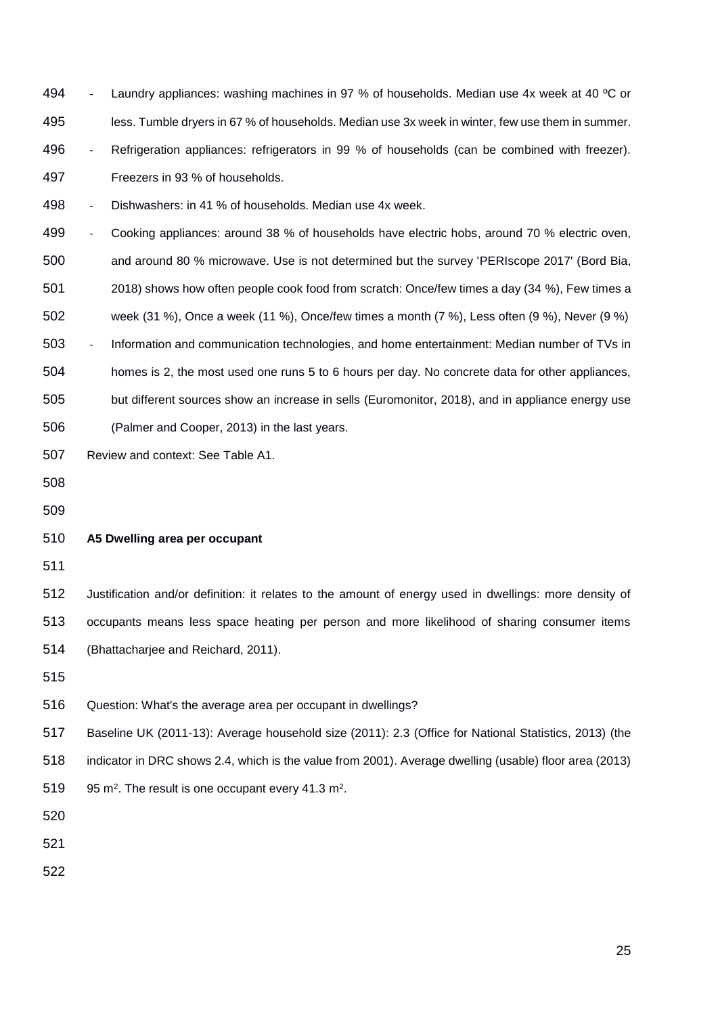494 - Laundry appliances: washing machines in 97 % of households. Median use 4x week at 40 °C or less. Tumble dryers in 67 % of households. Median use 3x week in winter, few use them in summer. - Refrigeration appliances: refrigerators in 99 % of households (can be combined with freezer).

Freezers in 93 % of households.

- Dishwashers: in 41 % of households. Median use 4x week.

499 - Cooking appliances: around 38 % of households have electric hobs, around 70 % electric oven, and around 80 % microwave. Use is not determined but the survey 'PERIscope 2017' (Bord Bia, 2018) shows how often people cook food from scratch: Once/few times a day (34 %), Few times a week (31 %), Once a week (11 %), Once/few times a month (7 %), Less often (9 %), Never (9 %) - Information and communication technologies, and home entertainment: Median number of TVs in homes is 2, the most used one runs 5 to 6 hours per day. No concrete data for other appliances, but different sources show an increase in sells (Euromonitor, 2018), and in appliance energy use (Palmer and Cooper, 2013) in the last years.

Review and context: See Table A1.

## **A5 Dwelling area per occupant**

 Justification and/or definition: it relates to the amount of energy used in dwellings: more density of occupants means less space heating per person and more likelihood of sharing consumer items (Bhattacharjee and Reichard, 2011).

Question: What's the average area per occupant in dwellings?

Baseline UK (2011-13): Average household size (2011): 2.3 (Office for National Statistics, 2013) (the

indicator in DRC shows 2.4, which is the value from 2001). Average dwelling (usable) floor area (2013)

95 m<sup>2</sup>. The result is one occupant every 41.3 m<sup>2</sup>.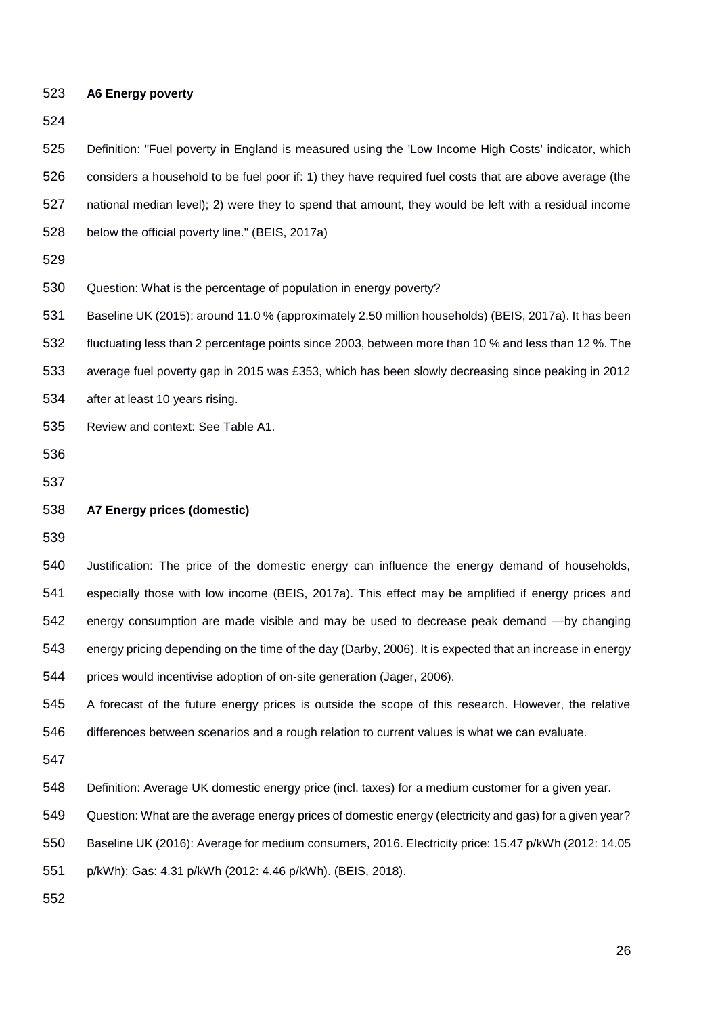| 523 | <b>A6 Energy poverty</b>                                                                                 |
|-----|----------------------------------------------------------------------------------------------------------|
| 524 |                                                                                                          |
| 525 | Definition: "Fuel poverty in England is measured using the 'Low Income High Costs' indicator, which      |
| 526 | considers a household to be fuel poor if: 1) they have required fuel costs that are above average (the   |
| 527 | national median level); 2) were they to spend that amount, they would be left with a residual income     |
| 528 | below the official poverty line." (BEIS, 2017a)                                                          |
| 529 |                                                                                                          |
| 530 | Question: What is the percentage of population in energy poverty?                                        |
| 531 | Baseline UK (2015): around 11.0 % (approximately 2.50 million households) (BEIS, 2017a). It has been     |
| 532 | fluctuating less than 2 percentage points since 2003, between more than 10 % and less than 12 %. The     |
| 533 | average fuel poverty gap in 2015 was £353, which has been slowly decreasing since peaking in 2012        |
| 534 | after at least 10 years rising.                                                                          |
| 535 | Review and context: See Table A1.                                                                        |
| 536 |                                                                                                          |
| 537 |                                                                                                          |
| 538 | A7 Energy prices (domestic)                                                                              |
| 539 |                                                                                                          |
| 540 | Justification: The price of the domestic energy can influence the energy demand of households,           |
| 541 | especially those with low income (BEIS, 2017a). This effect may be amplified if energy prices and        |
| 542 | energy consumption are made visible and may be used to decrease peak demand - by changing                |
| 543 | energy pricing depending on the time of the day (Darby, 2006). It is expected that an increase in energy |
| 544 | prices would incentivise adoption of on-site generation (Jager, 2006).                                   |
| 545 | A forecast of the future energy prices is outside the scope of this research. However, the relative      |
| 546 | differences between scenarios and a rough relation to current values is what we can evaluate.            |
| 547 |                                                                                                          |
| 548 | Definition: Average UK domestic energy price (incl. taxes) for a medium customer for a given year.       |
| 549 | Question: What are the average energy prices of domestic energy (electricity and gas) for a given year?  |
|     |                                                                                                          |
| 550 | Baseline UK (2016): Average for medium consumers, 2016. Electricity price: 15.47 p/kWh (2012: 14.05      |
| 551 | p/kWh); Gas: 4.31 p/kWh (2012: 4.46 p/kWh). (BEIS, 2018).                                                |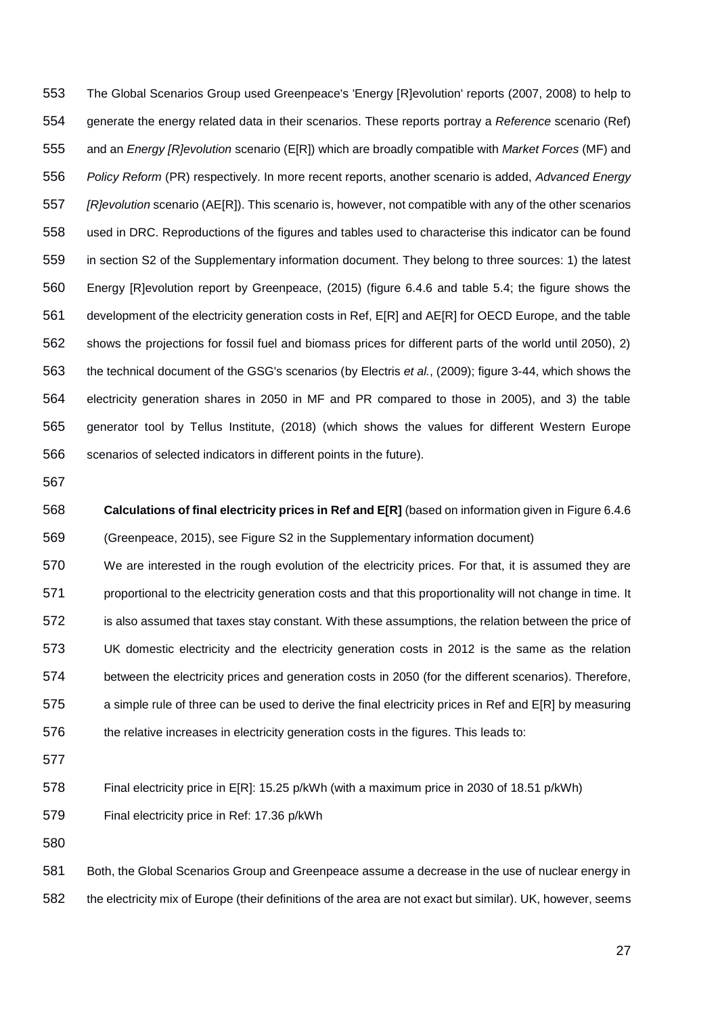The Global Scenarios Group used Greenpeace's 'Energy [R]evolution' reports (2007, 2008) to help to generate the energy related data in their scenarios. These reports portray a *Reference* scenario (Ref) and an *Energy [R]evolution* scenario (E[R]) which are broadly compatible with *Market Forces* (MF) and *Policy Reform* (PR) respectively. In more recent reports, another scenario is added, *Advanced Energy [R]evolution* scenario (AE[R]). This scenario is, however, not compatible with any of the other scenarios used in DRC. Reproductions of the figures and tables used to characterise this indicator can be found in section S2 of the Supplementary information document. They belong to three sources: 1) the latest Energy [R]evolution report by Greenpeace, (2015) (figure 6.4.6 and table 5.4; the figure shows the development of the electricity generation costs in Ref, E[R] and AE[R] for OECD Europe, and the table shows the projections for fossil fuel and biomass prices for different parts of the world until 2050), 2) the technical document of the GSG's scenarios (by Electris *et al.*, (2009); figure 3-44, which shows the electricity generation shares in 2050 in MF and PR compared to those in 2005), and 3) the table generator tool by Tellus Institute, (2018) (which shows the values for different Western Europe scenarios of selected indicators in different points in the future).

 **Calculations of final electricity prices in Ref and E[R]** (based on information given in Figure 6.4.6 (Greenpeace, 2015), see Figure S2 in the Supplementary information document)

 We are interested in the rough evolution of the electricity prices. For that, it is assumed they are 571 proportional to the electricity generation costs and that this proportionality will not change in time. It 572 is also assumed that taxes stay constant. With these assumptions, the relation between the price of UK domestic electricity and the electricity generation costs in 2012 is the same as the relation between the electricity prices and generation costs in 2050 (for the different scenarios). Therefore, a simple rule of three can be used to derive the final electricity prices in Ref and E[R] by measuring 576 the relative increases in electricity generation costs in the figures. This leads to:

Final electricity price in E[R]: 15.25 p/kWh (with a maximum price in 2030 of 18.51 p/kWh)

Final electricity price in Ref: 17.36 p/kWh

581 Both, the Global Scenarios Group and Greenpeace assume a decrease in the use of nuclear energy in the electricity mix of Europe (their definitions of the area are not exact but similar). UK, however, seems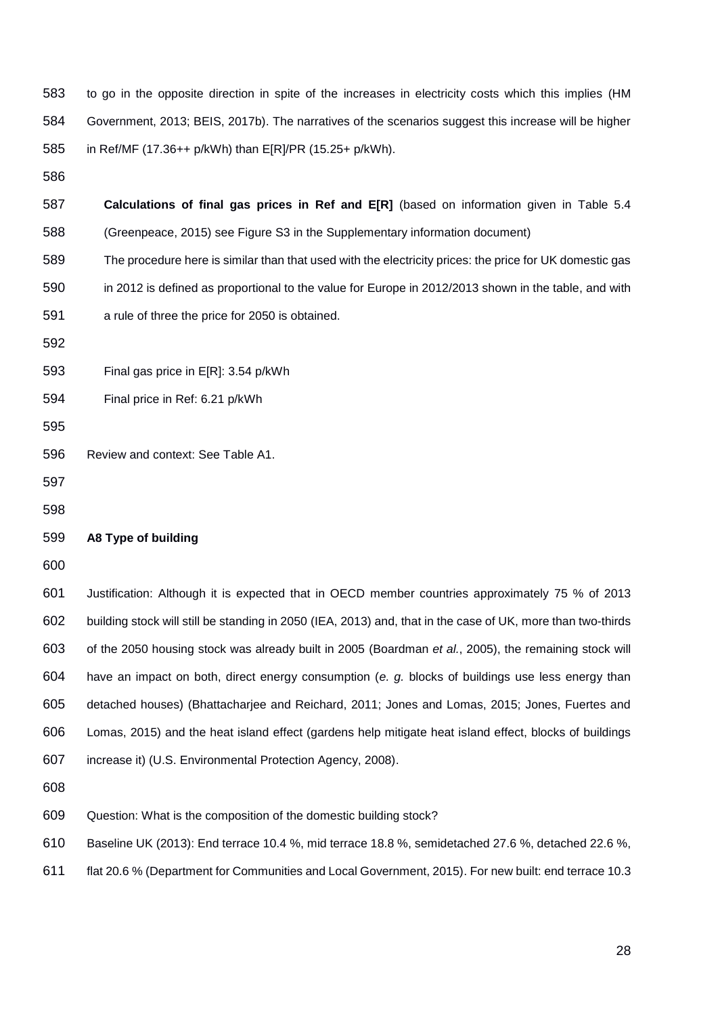to go in the opposite direction in spite of the increases in electricity costs which this implies (HM Government, 2013; BEIS, 2017b). The narratives of the scenarios suggest this increase will be higher in Ref/MF (17.36++ p/kWh) than E[R]/PR (15.25+ p/kWh). **Calculations of final gas prices in Ref and E[R]** (based on information given in Table 5.4 (Greenpeace, 2015) see Figure S3 in the Supplementary information document) The procedure here is similar than that used with the electricity prices: the price for UK domestic gas in 2012 is defined as proportional to the value for Europe in 2012/2013 shown in the table, and with a rule of three the price for 2050 is obtained. Final gas price in E[R]: 3.54 p/kWh Final price in Ref: 6.21 p/kWh Review and context: See Table A1. **A8 Type of building** Justification: Although it is expected that in OECD member countries approximately 75 % of 2013 building stock will still be standing in 2050 (IEA, 2013) and, that in the case of UK, more than two-thirds of the 2050 housing stock was already built in 2005 (Boardman *et al.*, 2005), the remaining stock will have an impact on both, direct energy consumption (*e. g.* blocks of buildings use less energy than detached houses) (Bhattacharjee and Reichard, 2011; Jones and Lomas, 2015; Jones, Fuertes and Lomas, 2015) and the heat island effect (gardens help mitigate heat island effect, blocks of buildings increase it) (U.S. Environmental Protection Agency, 2008). Question: What is the composition of the domestic building stock? Baseline UK (2013): End terrace 10.4 %, mid terrace 18.8 %, semidetached 27.6 %, detached 22.6 %, flat 20.6 % (Department for Communities and Local Government, 2015). For new built: end terrace 10.3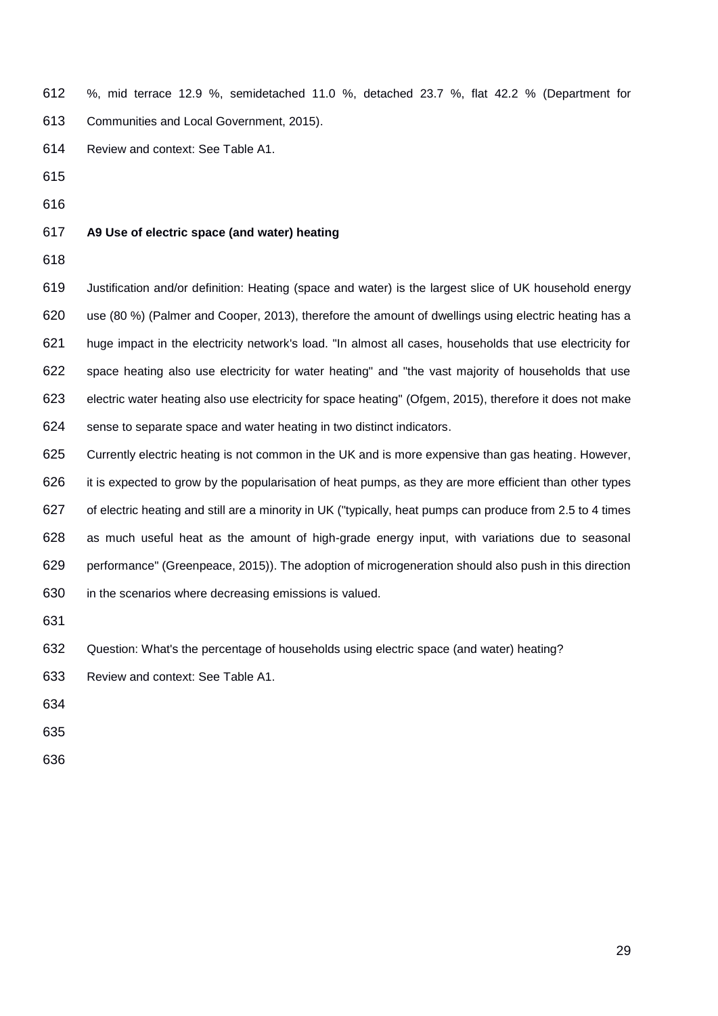- %, mid terrace 12.9 %, semidetached 11.0 %, detached 23.7 %, flat 42.2 % (Department for Communities and Local Government, 2015).
- Review and context: See Table A1.
- 
- 
- 
- **A9 Use of electric space (and water) heating**
- 

 Justification and/or definition: Heating (space and water) is the largest slice of UK household energy use (80 %) (Palmer and Cooper, 2013), therefore the amount of dwellings using electric heating has a huge impact in the electricity network's load. "In almost all cases, households that use electricity for space heating also use electricity for water heating" and "the vast majority of households that use electric water heating also use electricity for space heating" (Ofgem, 2015), therefore it does not make sense to separate space and water heating in two distinct indicators.

- Currently electric heating is not common in the UK and is more expensive than gas heating. However, it is expected to grow by the popularisation of heat pumps, as they are more efficient than other types of electric heating and still are a minority in UK ("typically, heat pumps can produce from 2.5 to 4 times as much useful heat as the amount of high-grade energy input, with variations due to seasonal performance" (Greenpeace, 2015)). The adoption of microgeneration should also push in this direction in the scenarios where decreasing emissions is valued.
- 
- Question: What's the percentage of households using electric space (and water) heating?

Review and context: See Table A1.

- 
- 
-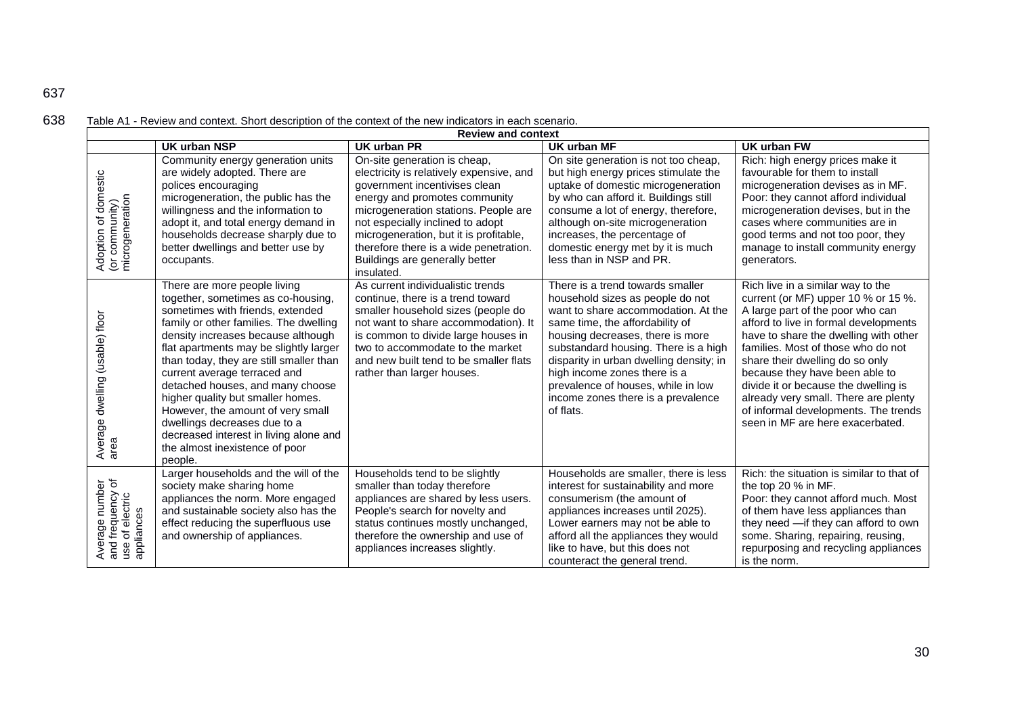| 638<br>Table A1 - Review and context. Short description of the context of the new indicators in each scenario. |  |
|----------------------------------------------------------------------------------------------------------------|--|
|----------------------------------------------------------------------------------------------------------------|--|

| <b>Review and context</b>                                            |                                                                                                                                                                                                                                                                                                                                                                                                                                                                                                                                                  |                                                                                                                                                                                                                                                                                                                                                            |                                                                                                                                                                                                                                                                                                                                                                                                |                                                                                                                                                                                                                                                                                                                                                                                                                                                                       |  |
|----------------------------------------------------------------------|--------------------------------------------------------------------------------------------------------------------------------------------------------------------------------------------------------------------------------------------------------------------------------------------------------------------------------------------------------------------------------------------------------------------------------------------------------------------------------------------------------------------------------------------------|------------------------------------------------------------------------------------------------------------------------------------------------------------------------------------------------------------------------------------------------------------------------------------------------------------------------------------------------------------|------------------------------------------------------------------------------------------------------------------------------------------------------------------------------------------------------------------------------------------------------------------------------------------------------------------------------------------------------------------------------------------------|-----------------------------------------------------------------------------------------------------------------------------------------------------------------------------------------------------------------------------------------------------------------------------------------------------------------------------------------------------------------------------------------------------------------------------------------------------------------------|--|
|                                                                      | <b>UK urban NSP</b>                                                                                                                                                                                                                                                                                                                                                                                                                                                                                                                              | UK urban PR                                                                                                                                                                                                                                                                                                                                                | UK urban MF                                                                                                                                                                                                                                                                                                                                                                                    | UK urban FW                                                                                                                                                                                                                                                                                                                                                                                                                                                           |  |
| of domestic<br>Adoption of dome<br>(or community)<br>microgeneration | Community energy generation units<br>are widely adopted. There are<br>polices encouraging<br>microgeneration, the public has the<br>willingness and the information to<br>adopt it, and total energy demand in<br>households decrease sharply due to<br>better dwellings and better use by<br>occupants.                                                                                                                                                                                                                                         | On-site generation is cheap,<br>electricity is relatively expensive, and<br>government incentivises clean<br>energy and promotes community<br>microgeneration stations. People are<br>not especially inclined to adopt<br>microgeneration, but it is profitable,<br>therefore there is a wide penetration.<br>Buildings are generally better<br>insulated. | On site generation is not too cheap,<br>but high energy prices stimulate the<br>uptake of domestic microgeneration<br>by who can afford it. Buildings still<br>consume a lot of energy, therefore,<br>although on-site microgeneration<br>increases, the percentage of<br>domestic energy met by it is much<br>less than in NSP and PR.                                                        | Rich: high energy prices make it<br>favourable for them to install<br>microgeneration devises as in MF.<br>Poor: they cannot afford individual<br>microgeneration devises, but in the<br>cases where communities are in<br>good terms and not too poor, they<br>manage to install community energy<br>generators.                                                                                                                                                     |  |
| dwelling (usable) floor<br>Average                                   | There are more people living<br>together, sometimes as co-housing,<br>sometimes with friends, extended<br>family or other families. The dwelling<br>density increases because although<br>flat apartments may be slightly larger<br>than today, they are still smaller than<br>current average terraced and<br>detached houses, and many choose<br>higher quality but smaller homes.<br>However, the amount of very small<br>dwellings decreases due to a<br>decreased interest in living alone and<br>the almost inexistence of poor<br>people. | As current individualistic trends<br>continue, there is a trend toward<br>smaller household sizes (people do<br>not want to share accommodation). It<br>is common to divide large houses in<br>two to accommodate to the market<br>and new built tend to be smaller flats<br>rather than larger houses.                                                    | There is a trend towards smaller<br>household sizes as people do not<br>want to share accommodation. At the<br>same time, the affordability of<br>housing decreases, there is more<br>substandard housing. There is a high<br>disparity in urban dwelling density; in<br>high income zones there is a<br>prevalence of houses, while in low<br>income zones there is a prevalence<br>of flats. | Rich live in a similar way to the<br>current (or MF) upper 10 % or 15 %.<br>A large part of the poor who can<br>afford to live in formal developments<br>have to share the dwelling with other<br>families. Most of those who do not<br>share their dwelling do so only<br>because they have been able to<br>divide it or because the dwelling is<br>already very small. There are plenty<br>of informal developments. The trends<br>seen in MF are here exacerbated. |  |
| Average number<br>and frequency of<br>use of electric<br>appliances  | Larger households and the will of the<br>society make sharing home<br>appliances the norm. More engaged<br>and sustainable society also has the<br>effect reducing the superfluous use<br>and ownership of appliances.                                                                                                                                                                                                                                                                                                                           | Households tend to be slightly<br>smaller than today therefore<br>appliances are shared by less users.<br>People's search for novelty and<br>status continues mostly unchanged,<br>therefore the ownership and use of<br>appliances increases slightly.                                                                                                    | Households are smaller, there is less<br>interest for sustainability and more<br>consumerism (the amount of<br>appliances increases until 2025).<br>Lower earners may not be able to<br>afford all the appliances they would<br>like to have, but this does not<br>counteract the general trend.                                                                                               | Rich: the situation is similar to that of<br>the top 20 % in MF.<br>Poor: they cannot afford much. Most<br>of them have less appliances than<br>they need - if they can afford to own<br>some. Sharing, repairing, reusing,<br>repurposing and recycling appliances<br>is the norm.                                                                                                                                                                                   |  |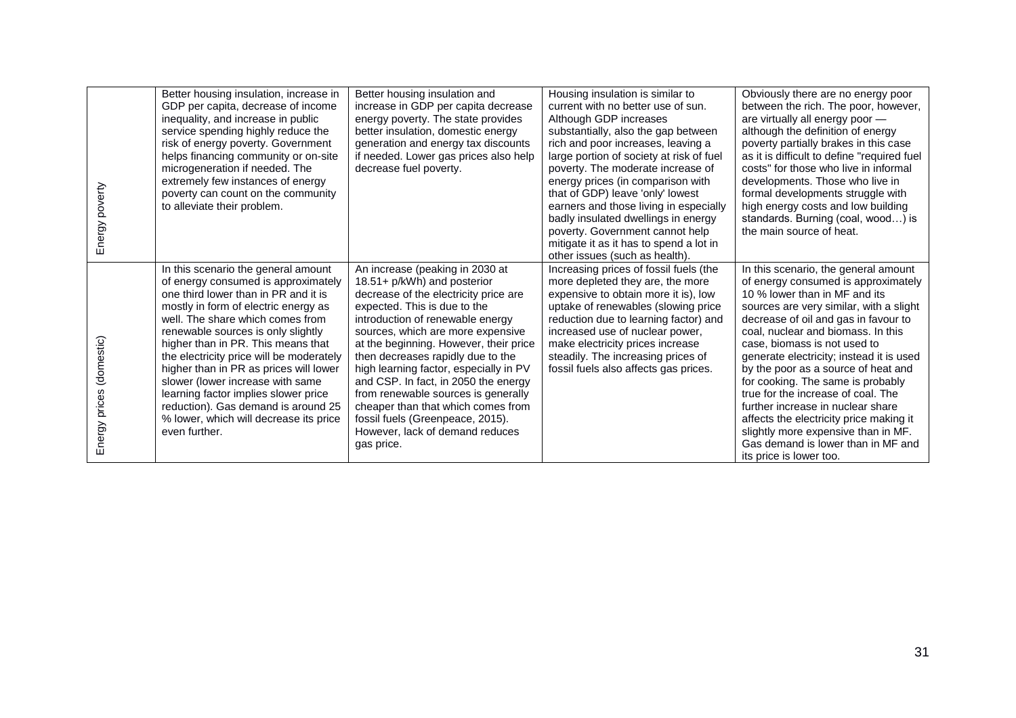| Energy poverty           | Better housing insulation, increase in<br>GDP per capita, decrease of income<br>inequality, and increase in public<br>service spending highly reduce the<br>risk of energy poverty. Government<br>helps financing community or on-site<br>microgeneration if needed. The<br>extremely few instances of energy<br>poverty can count on the community<br>to alleviate their problem.                                                                                                                                                             | Better housing insulation and<br>increase in GDP per capita decrease<br>energy poverty. The state provides<br>better insulation, domestic energy<br>generation and energy tax discounts<br>if needed. Lower gas prices also help<br>decrease fuel poverty.                                                                                                                                                                                                                                                                                          | Housing insulation is similar to<br>current with no better use of sun.<br>Although GDP increases<br>substantially, also the gap between<br>rich and poor increases, leaving a<br>large portion of society at risk of fuel<br>poverty. The moderate increase of<br>energy prices (in comparison with<br>that of GDP) leave 'only' lowest<br>earners and those living in especially<br>badly insulated dwellings in energy<br>poverty. Government cannot help<br>mitigate it as it has to spend a lot in<br>other issues (such as health). | Obviously there are no energy poor<br>between the rich. The poor, however,<br>are virtually all energy poor -<br>although the definition of energy<br>poverty partially brakes in this case<br>as it is difficult to define "required fuel<br>costs" for those who live in informal<br>developments. Those who live in<br>formal developments struggle with<br>high energy costs and low building<br>standards. Burning (coal, wood) is<br>the main source of heat.                                                                                                                                                         |
|--------------------------|------------------------------------------------------------------------------------------------------------------------------------------------------------------------------------------------------------------------------------------------------------------------------------------------------------------------------------------------------------------------------------------------------------------------------------------------------------------------------------------------------------------------------------------------|-----------------------------------------------------------------------------------------------------------------------------------------------------------------------------------------------------------------------------------------------------------------------------------------------------------------------------------------------------------------------------------------------------------------------------------------------------------------------------------------------------------------------------------------------------|------------------------------------------------------------------------------------------------------------------------------------------------------------------------------------------------------------------------------------------------------------------------------------------------------------------------------------------------------------------------------------------------------------------------------------------------------------------------------------------------------------------------------------------|-----------------------------------------------------------------------------------------------------------------------------------------------------------------------------------------------------------------------------------------------------------------------------------------------------------------------------------------------------------------------------------------------------------------------------------------------------------------------------------------------------------------------------------------------------------------------------------------------------------------------------|
| Energy prices (domestic) | In this scenario the general amount<br>of energy consumed is approximately<br>one third lower than in PR and it is<br>mostly in form of electric energy as<br>well. The share which comes from<br>renewable sources is only slightly<br>higher than in PR. This means that<br>the electricity price will be moderately<br>higher than in PR as prices will lower<br>slower (lower increase with same<br>learning factor implies slower price<br>reduction). Gas demand is around 25<br>% lower, which will decrease its price<br>even further. | An increase (peaking in 2030 at<br>18.51+ p/kWh) and posterior<br>decrease of the electricity price are<br>expected. This is due to the<br>introduction of renewable energy<br>sources, which are more expensive<br>at the beginning. However, their price<br>then decreases rapidly due to the<br>high learning factor, especially in PV<br>and CSP. In fact, in 2050 the energy<br>from renewable sources is generally<br>cheaper than that which comes from<br>fossil fuels (Greenpeace, 2015).<br>However, lack of demand reduces<br>gas price. | Increasing prices of fossil fuels (the<br>more depleted they are, the more<br>expensive to obtain more it is), low<br>uptake of renewables (slowing price<br>reduction due to learning factor) and<br>increased use of nuclear power,<br>make electricity prices increase<br>steadily. The increasing prices of<br>fossil fuels also affects gas prices.                                                                                                                                                                                 | In this scenario, the general amount<br>of energy consumed is approximately<br>10 % lower than in MF and its<br>sources are very similar, with a slight<br>decrease of oil and gas in favour to<br>coal, nuclear and biomass. In this<br>case, biomass is not used to<br>generate electricity; instead it is used<br>by the poor as a source of heat and<br>for cooking. The same is probably<br>true for the increase of coal. The<br>further increase in nuclear share<br>affects the electricity price making it<br>slightly more expensive than in MF.<br>Gas demand is lower than in MF and<br>its price is lower too. |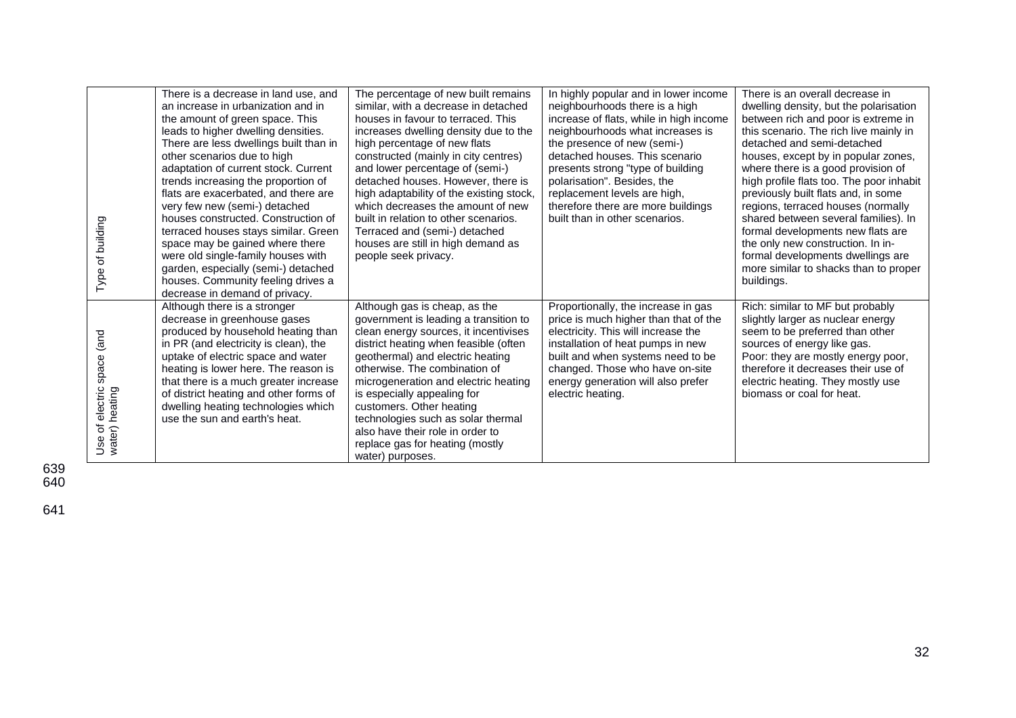| Type of building                                               | There is a decrease in land use, and<br>an increase in urbanization and in<br>the amount of green space. This<br>leads to higher dwelling densities.<br>There are less dwellings built than in<br>other scenarios due to high<br>adaptation of current stock. Current<br>trends increasing the proportion of<br>flats are exacerbated, and there are<br>very few new (semi-) detached<br>houses constructed. Construction of<br>terraced houses stays similar. Green<br>space may be gained where there<br>were old single-family houses with<br>garden, especially (semi-) detached<br>houses. Community feeling drives a<br>decrease in demand of privacy. | The percentage of new built remains<br>similar, with a decrease in detached<br>houses in favour to terraced. This<br>increases dwelling density due to the<br>high percentage of new flats<br>constructed (mainly in city centres)<br>and lower percentage of (semi-)<br>detached houses. However, there is<br>high adaptability of the existing stock,<br>which decreases the amount of new<br>built in relation to other scenarios.<br>Terraced and (semi-) detached<br>houses are still in high demand as<br>people seek privacy. | In highly popular and in lower income<br>neighbourhoods there is a high<br>increase of flats, while in high income<br>neighbourhoods what increases is<br>the presence of new (semi-)<br>detached houses. This scenario<br>presents strong "type of building<br>polarisation". Besides, the<br>replacement levels are high,<br>therefore there are more buildings<br>built than in other scenarios. | There is an overall decrease in<br>dwelling density, but the polarisation<br>between rich and poor is extreme in<br>this scenario. The rich live mainly in<br>detached and semi-detached<br>houses, except by in popular zones,<br>where there is a good provision of<br>high profile flats too. The poor inhabit<br>previously built flats and, in some<br>regions, terraced houses (normally<br>shared between several families). In<br>formal developments new flats are<br>the only new construction. In in-<br>formal developments dwellings are<br>more similar to shacks than to proper<br>buildings. |
|----------------------------------------------------------------|--------------------------------------------------------------------------------------------------------------------------------------------------------------------------------------------------------------------------------------------------------------------------------------------------------------------------------------------------------------------------------------------------------------------------------------------------------------------------------------------------------------------------------------------------------------------------------------------------------------------------------------------------------------|--------------------------------------------------------------------------------------------------------------------------------------------------------------------------------------------------------------------------------------------------------------------------------------------------------------------------------------------------------------------------------------------------------------------------------------------------------------------------------------------------------------------------------------|-----------------------------------------------------------------------------------------------------------------------------------------------------------------------------------------------------------------------------------------------------------------------------------------------------------------------------------------------------------------------------------------------------|--------------------------------------------------------------------------------------------------------------------------------------------------------------------------------------------------------------------------------------------------------------------------------------------------------------------------------------------------------------------------------------------------------------------------------------------------------------------------------------------------------------------------------------------------------------------------------------------------------------|
| (and<br>space<br>electric<br>Use of electric<br>water) heating | Although there is a stronger<br>decrease in greenhouse gases<br>produced by household heating than<br>in PR (and electricity is clean), the<br>uptake of electric space and water<br>heating is lower here. The reason is<br>that there is a much greater increase<br>of district heating and other forms of<br>dwelling heating technologies which<br>use the sun and earth's heat.                                                                                                                                                                                                                                                                         | Although gas is cheap, as the<br>government is leading a transition to<br>clean energy sources, it incentivises<br>district heating when feasible (often<br>geothermal) and electric heating<br>otherwise. The combination of<br>microgeneration and electric heating<br>is especially appealing for<br>customers. Other heating<br>technologies such as solar thermal<br>also have their role in order to<br>replace gas for heating (mostly<br>water) purposes.                                                                    | Proportionally, the increase in gas<br>price is much higher than that of the<br>electricity. This will increase the<br>installation of heat pumps in new<br>built and when systems need to be<br>changed. Those who have on-site<br>energy generation will also prefer<br>electric heating.                                                                                                         | Rich: similar to MF but probably<br>slightly larger as nuclear energy<br>seem to be preferred than other<br>sources of energy like gas.<br>Poor: they are mostly energy poor,<br>therefore it decreases their use of<br>electric heating. They mostly use<br>biomass or coal for heat.                                                                                                                                                                                                                                                                                                                       |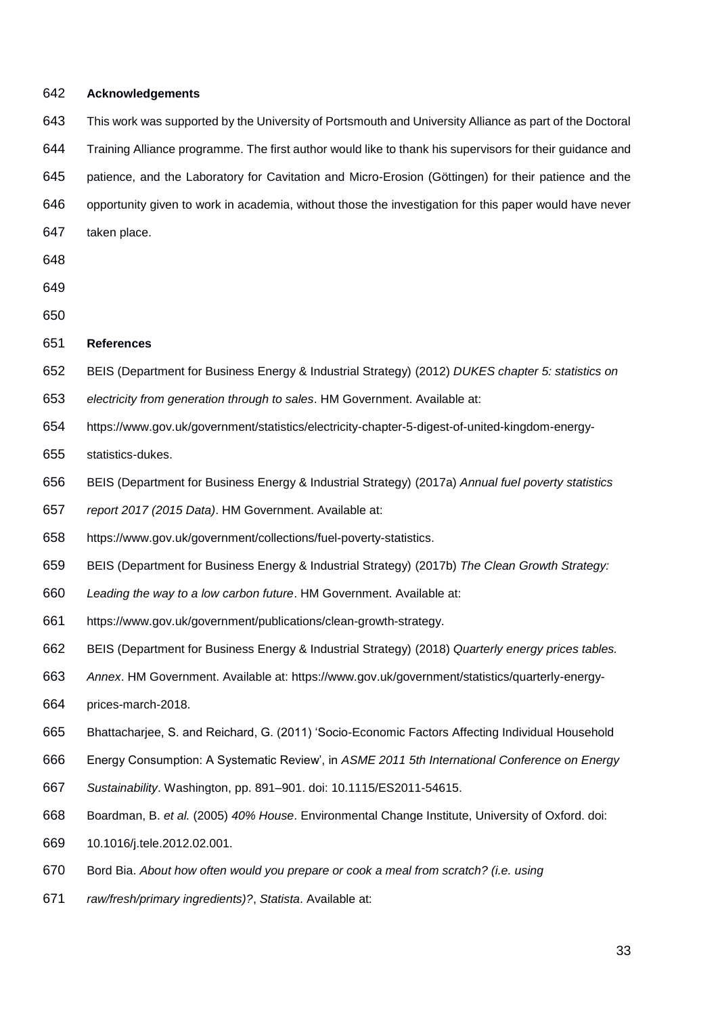**Acknowledgements** This work was supported by the University of Portsmouth and University Alliance as part of the Doctoral Training Alliance programme. The first author would like to thank his supervisors for their guidance and patience, and the Laboratory for Cavitation and Micro-Erosion (Göttingen) for their patience and the opportunity given to work in academia, without those the investigation for this paper would have never taken place. **References** BEIS (Department for Business Energy & Industrial Strategy) (2012) *DUKES chapter 5: statistics on electricity from generation through to sales*. HM Government. Available at: https://www.gov.uk/government/statistics/electricity-chapter-5-digest-of-united-kingdom-energy- statistics-dukes. BEIS (Department for Business Energy & Industrial Strategy) (2017a) *Annual fuel poverty statistics report 2017 (2015 Data)*. HM Government. Available at: https://www.gov.uk/government/collections/fuel-poverty-statistics. BEIS (Department for Business Energy & Industrial Strategy) (2017b) *The Clean Growth Strategy: Leading the way to a low carbon future*. HM Government. Available at: https://www.gov.uk/government/publications/clean-growth-strategy. BEIS (Department for Business Energy & Industrial Strategy) (2018) *Quarterly energy prices tables. Annex*. HM Government. Available at: https://www.gov.uk/government/statistics/quarterly-energy- prices-march-2018. Bhattacharjee, S. and Reichard, G. (2011) 'Socio-Economic Factors Affecting Individual Household Energy Consumption: A Systematic Review', in *ASME 2011 5th International Conference on Energy Sustainability*. Washington, pp. 891–901. doi: 10.1115/ES2011-54615. Boardman, B. *et al.* (2005) *40% House*. Environmental Change Institute, University of Oxford. doi: 10.1016/j.tele.2012.02.001. Bord Bia. *About how often would you prepare or cook a meal from scratch? (i.e. using raw/fresh/primary ingredients)?*, *Statista*. Available at: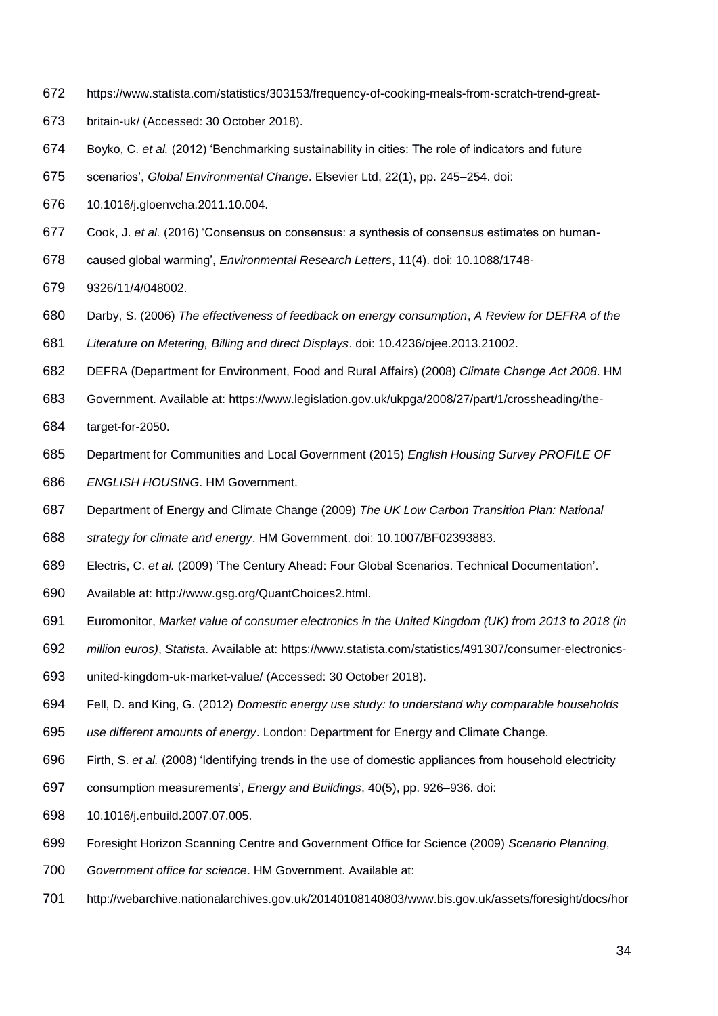- https://www.statista.com/statistics/303153/frequency-of-cooking-meals-from-scratch-trend-great-
- britain-uk/ (Accessed: 30 October 2018).
- Boyko, C. *et al.* (2012) 'Benchmarking sustainability in cities: The role of indicators and future
- scenarios', *Global Environmental Change*. Elsevier Ltd, 22(1), pp. 245–254. doi:
- 10.1016/j.gloenvcha.2011.10.004.
- Cook, J. *et al.* (2016) 'Consensus on consensus: a synthesis of consensus estimates on human-
- caused global warming', *Environmental Research Letters*, 11(4). doi: 10.1088/1748-
- 9326/11/4/048002.
- Darby, S. (2006) *The effectiveness of feedback on energy consumption*, *A Review for DEFRA of the*
- *Literature on Metering, Billing and direct Displays*. doi: 10.4236/ojee.2013.21002.
- DEFRA (Department for Environment, Food and Rural Affairs) (2008) *Climate Change Act 2008*. HM
- Government. Available at: https://www.legislation.gov.uk/ukpga/2008/27/part/1/crossheading/the-
- target-for-2050.
- Department for Communities and Local Government (2015) *English Housing Survey PROFILE OF ENGLISH HOUSING*. HM Government.
- Department of Energy and Climate Change (2009) *The UK Low Carbon Transition Plan: National*
- *strategy for climate and energy*. HM Government. doi: 10.1007/BF02393883.
- Electris, C. *et al.* (2009) 'The Century Ahead: Four Global Scenarios. Technical Documentation'.
- Available at: http://www.gsg.org/QuantChoices2.html.
- Euromonitor, *Market value of consumer electronics in the United Kingdom (UK) from 2013 to 2018 (in*
- *million euros)*, *Statista*. Available at: https://www.statista.com/statistics/491307/consumer-electronics-
- united-kingdom-uk-market-value/ (Accessed: 30 October 2018).
- Fell, D. and King, G. (2012) *Domestic energy use study: to understand why comparable households*
- *use different amounts of energy*. London: Department for Energy and Climate Change.
- Firth, S. *et al.* (2008) 'Identifying trends in the use of domestic appliances from household electricity
- consumption measurements', *Energy and Buildings*, 40(5), pp. 926–936. doi:
- 10.1016/j.enbuild.2007.07.005.
- Foresight Horizon Scanning Centre and Government Office for Science (2009) *Scenario Planning*,
- *Government office for science*. HM Government. Available at:
- http://webarchive.nationalarchives.gov.uk/20140108140803/www.bis.gov.uk/assets/foresight/docs/hor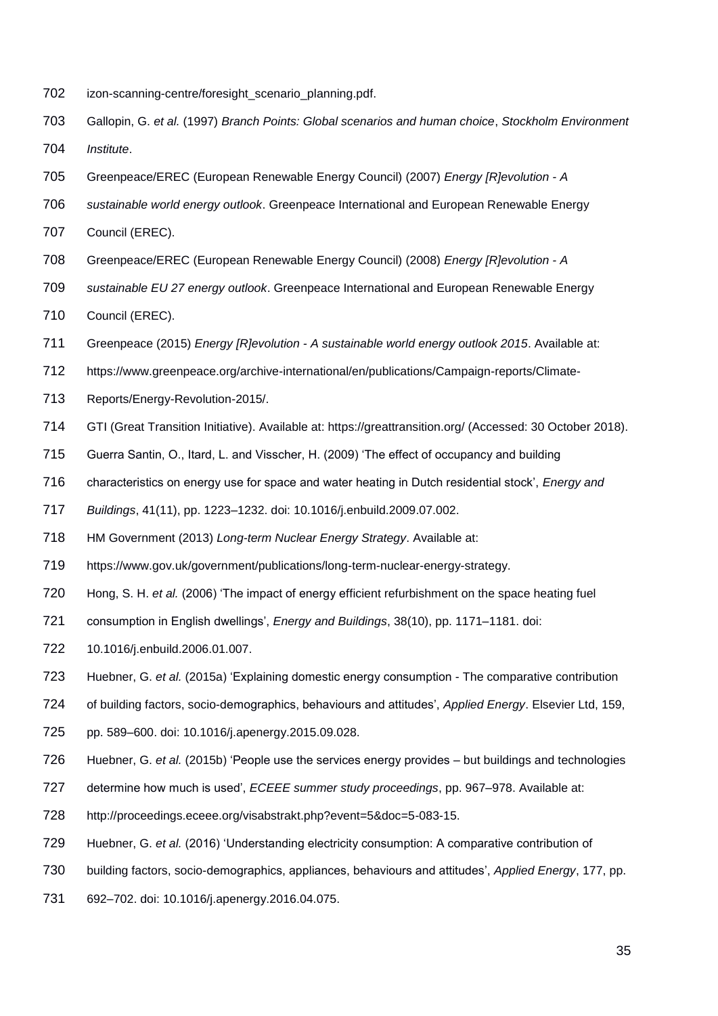- izon-scanning-centre/foresight\_scenario\_planning.pdf.
- Gallopin, G. *et al.* (1997) *Branch Points: Global scenarios and human choice*, *Stockholm Environment Institute*.
- Greenpeace/EREC (European Renewable Energy Council) (2007) *Energy [R]evolution - A*
- *sustainable world energy outlook*. Greenpeace International and European Renewable Energy
- Council (EREC).
- Greenpeace/EREC (European Renewable Energy Council) (2008) *Energy [R]evolution - A*
- *sustainable EU 27 energy outlook*. Greenpeace International and European Renewable Energy
- Council (EREC).
- Greenpeace (2015) *Energy [R]evolution - A sustainable world energy outlook 2015*. Available at:
- https://www.greenpeace.org/archive-international/en/publications/Campaign-reports/Climate-
- Reports/Energy-Revolution-2015/.
- GTI (Great Transition Initiative). Available at: https://greattransition.org/ (Accessed: 30 October 2018).
- Guerra Santin, O., Itard, L. and Visscher, H. (2009) 'The effect of occupancy and building
- characteristics on energy use for space and water heating in Dutch residential stock', *Energy and*
- *Buildings*, 41(11), pp. 1223–1232. doi: 10.1016/j.enbuild.2009.07.002.
- HM Government (2013) *Long-term Nuclear Energy Strategy*. Available at:
- https://www.gov.uk/government/publications/long-term-nuclear-energy-strategy.
- Hong, S. H. *et al.* (2006) 'The impact of energy efficient refurbishment on the space heating fuel
- consumption in English dwellings', *Energy and Buildings*, 38(10), pp. 1171–1181. doi:
- 10.1016/j.enbuild.2006.01.007.
- Huebner, G. *et al.* (2015a) 'Explaining domestic energy consumption The comparative contribution
- of building factors, socio-demographics, behaviours and attitudes', *Applied Energy*. Elsevier Ltd, 159,
- pp. 589–600. doi: 10.1016/j.apenergy.2015.09.028.
- Huebner, G. *et al.* (2015b) 'People use the services energy provides but buildings and technologies
- determine how much is used', *ECEEE summer study proceedings*, pp. 967–978. Available at:
- http://proceedings.eceee.org/visabstrakt.php?event=5&doc=5-083-15.
- Huebner, G. *et al.* (2016) 'Understanding electricity consumption: A comparative contribution of
- building factors, socio-demographics, appliances, behaviours and attitudes', *Applied Energy*, 177, pp.
- 692–702. doi: 10.1016/j.apenergy.2016.04.075.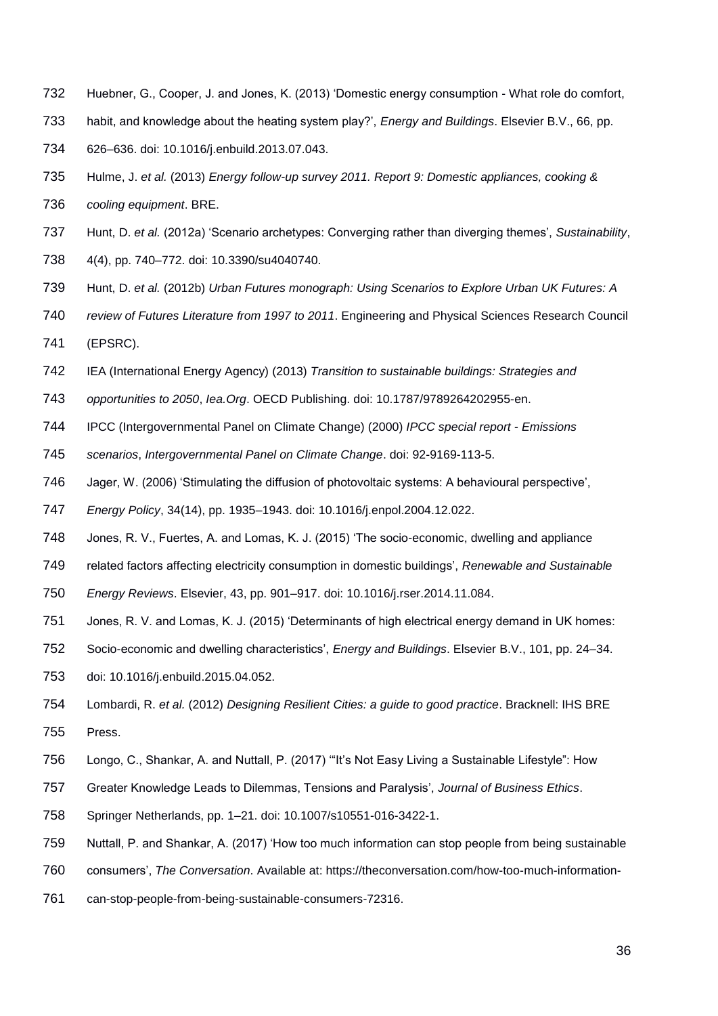- Huebner, G., Cooper, J. and Jones, K. (2013) 'Domestic energy consumption What role do comfort,
- habit, and knowledge about the heating system play?', *Energy and Buildings*. Elsevier B.V., 66, pp.
- 626–636. doi: 10.1016/j.enbuild.2013.07.043.
- Hulme, J. *et al.* (2013) *Energy follow-up survey 2011. Report 9: Domestic appliances, cooking &*
- *cooling equipment*. BRE.
- Hunt, D. *et al.* (2012a) 'Scenario archetypes: Converging rather than diverging themes', *Sustainability*,
- 4(4), pp. 740–772. doi: 10.3390/su4040740.
- Hunt, D. *et al.* (2012b) *Urban Futures monograph: Using Scenarios to Explore Urban UK Futures: A*
- *review of Futures Literature from 1997 to 2011*. Engineering and Physical Sciences Research Council (EPSRC).
- IEA (International Energy Agency) (2013) *Transition to sustainable buildings: Strategies and*
- *opportunities to 2050*, *Iea.Org*. OECD Publishing. doi: 10.1787/9789264202955-en.
- IPCC (Intergovernmental Panel on Climate Change) (2000) *IPCC special report - Emissions*
- *scenarios*, *Intergovernmental Panel on Climate Change*. doi: 92-9169-113-5.
- Jager, W. (2006) 'Stimulating the diffusion of photovoltaic systems: A behavioural perspective',
- *Energy Policy*, 34(14), pp. 1935–1943. doi: 10.1016/j.enpol.2004.12.022.
- Jones, R. V., Fuertes, A. and Lomas, K. J. (2015) 'The socio-economic, dwelling and appliance
- related factors affecting electricity consumption in domestic buildings', *Renewable and Sustainable*
- *Energy Reviews*. Elsevier, 43, pp. 901–917. doi: 10.1016/j.rser.2014.11.084.
- Jones, R. V. and Lomas, K. J. (2015) 'Determinants of high electrical energy demand in UK homes:
- Socio-economic and dwelling characteristics', *Energy and Buildings*. Elsevier B.V., 101, pp. 24–34.
- doi: 10.1016/j.enbuild.2015.04.052.
- Lombardi, R. *et al.* (2012) *Designing Resilient Cities: a guide to good practice*. Bracknell: IHS BRE Press.
- Longo, C., Shankar, A. and Nuttall, P. (2017) '"It's Not Easy Living a Sustainable Lifestyle": How
- Greater Knowledge Leads to Dilemmas, Tensions and Paralysis', *Journal of Business Ethics*.
- Springer Netherlands, pp. 1–21. doi: 10.1007/s10551-016-3422-1.
- Nuttall, P. and Shankar, A. (2017) 'How too much information can stop people from being sustainable
- consumers', *The Conversation*. Available at: https://theconversation.com/how-too-much-information-
- can-stop-people-from-being-sustainable-consumers-72316.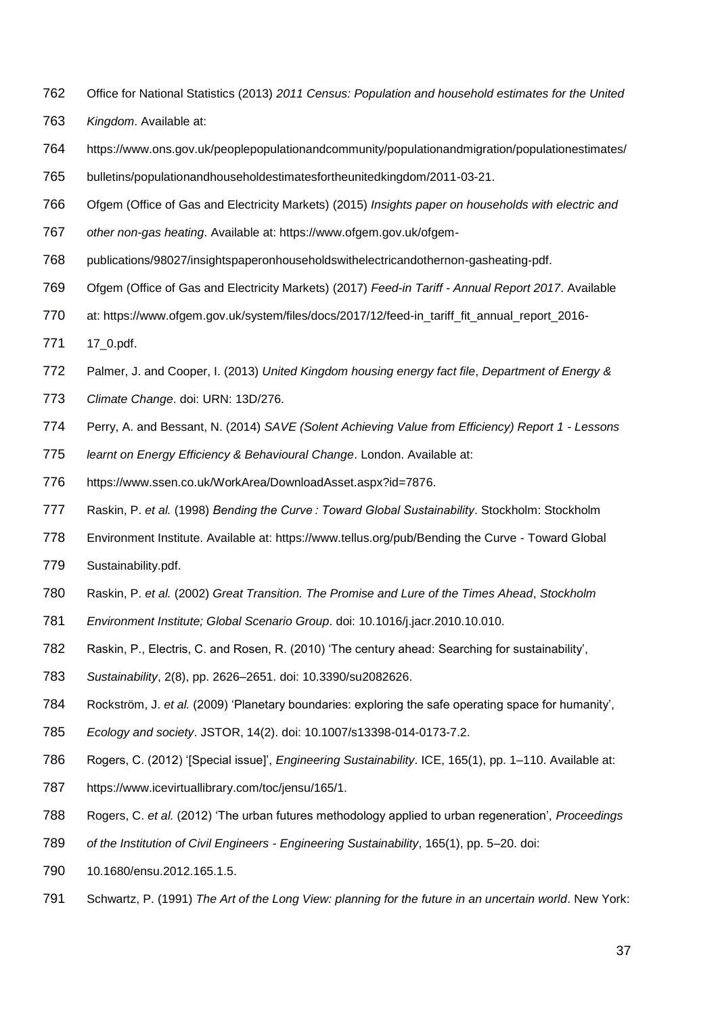- Office for National Statistics (2013) *2011 Census: Population and household estimates for the United*
- *Kingdom*. Available at:
- https://www.ons.gov.uk/peoplepopulationandcommunity/populationandmigration/populationestimates/
- bulletins/populationandhouseholdestimatesfortheunitedkingdom/2011-03-21.
- Ofgem (Office of Gas and Electricity Markets) (2015) *Insights paper on households with electric and*
- *other non-gas heating*. Available at: https://www.ofgem.gov.uk/ofgem-
- publications/98027/insightspaperonhouseholdswithelectricandothernon-gasheating-pdf.
- Ofgem (Office of Gas and Electricity Markets) (2017) *Feed-in Tariff - Annual Report 2017*. Available
- 770 at: https://www.ofgem.gov.uk/system/files/docs/2017/12/feed-in\_tariff\_fit\_annual\_report\_2016-
- 17\_0.pdf.
- Palmer, J. and Cooper, I. (2013) *United Kingdom housing energy fact file*, *Department of Energy &*
- *Climate Change*. doi: URN: 13D/276.
- Perry, A. and Bessant, N. (2014) *SAVE (Solent Achieving Value from Efficiency) Report 1 - Lessons*
- *learnt on Energy Efficiency & Behavioural Change*. London. Available at:
- https://www.ssen.co.uk/WorkArea/DownloadAsset.aspx?id=7876.
- Raskin, P. *et al.* (1998) *Bending the Curve : Toward Global Sustainability*. Stockholm: Stockholm
- Environment Institute. Available at: https://www.tellus.org/pub/Bending the Curve Toward Global
- Sustainability.pdf.
- Raskin, P. *et al.* (2002) *Great Transition. The Promise and Lure of the Times Ahead*, *Stockholm*
- *Environment Institute; Global Scenario Group*. doi: 10.1016/j.jacr.2010.10.010.
- Raskin, P., Electris, C. and Rosen, R. (2010) 'The century ahead: Searching for sustainability',
- *Sustainability*, 2(8), pp. 2626–2651. doi: 10.3390/su2082626.
- Rockström, J. *et al.* (2009) 'Planetary boundaries: exploring the safe operating space for humanity',
- *Ecology and society*. JSTOR, 14(2). doi: 10.1007/s13398-014-0173-7.2.
- Rogers, C. (2012) '[Special issue]', *Engineering Sustainability*. ICE, 165(1), pp. 1–110. Available at:
- https://www.icevirtuallibrary.com/toc/jensu/165/1.
- Rogers, C. *et al.* (2012) 'The urban futures methodology applied to urban regeneration', *Proceedings*
- *of the Institution of Civil Engineers - Engineering Sustainability*, 165(1), pp. 5–20. doi:
- 10.1680/ensu.2012.165.1.5.
- Schwartz, P. (1991) *The Art of the Long View: planning for the future in an uncertain world*. New York: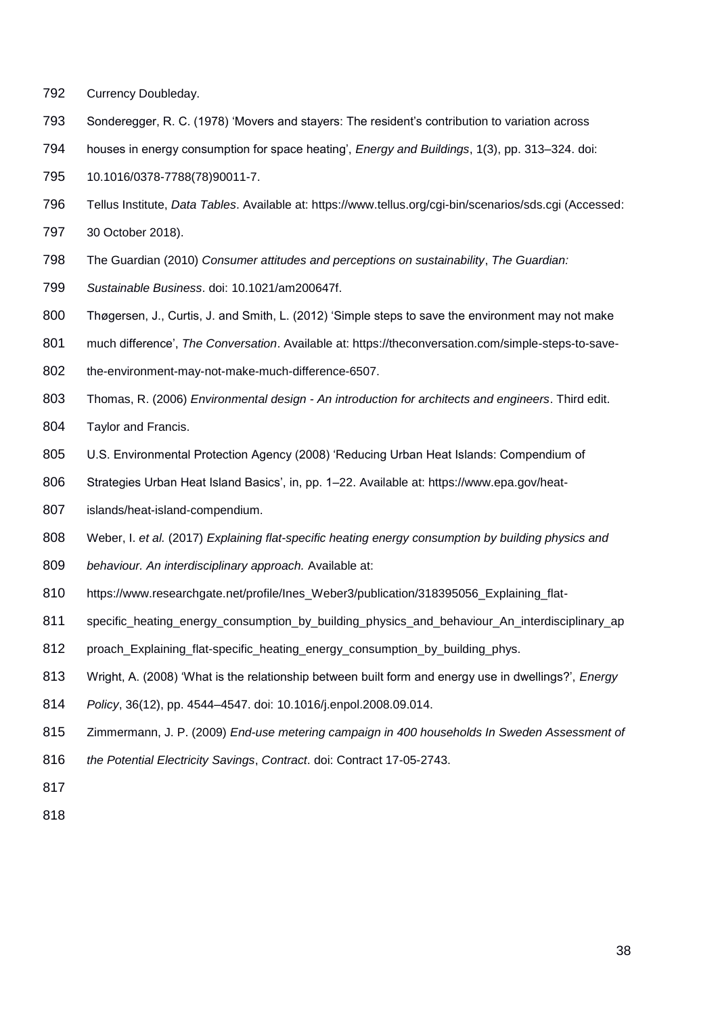- Currency Doubleday.
- Sonderegger, R. C. (1978) 'Movers and stayers: The resident's contribution to variation across
- houses in energy consumption for space heating', *Energy and Buildings*, 1(3), pp. 313–324. doi:
- 10.1016/0378-7788(78)90011-7.
- Tellus Institute, *Data Tables*. Available at: https://www.tellus.org/cgi-bin/scenarios/sds.cgi (Accessed:
- 30 October 2018).
- The Guardian (2010) *Consumer attitudes and perceptions on sustainability*, *The Guardian:*
- *Sustainable Business*. doi: 10.1021/am200647f.
- Thøgersen, J., Curtis, J. and Smith, L. (2012) 'Simple steps to save the environment may not make
- much difference', *The Conversation*. Available at: https://theconversation.com/simple-steps-to-save-
- 802 the-environment-may-not-make-much-difference-6507.
- Thomas, R. (2006) *Environmental design - An introduction for architects and engineers*. Third edit.
- Taylor and Francis.
- U.S. Environmental Protection Agency (2008) 'Reducing Urban Heat Islands: Compendium of
- Strategies Urban Heat Island Basics', in, pp. 1–22. Available at: https://www.epa.gov/heat-
- islands/heat-island-compendium.
- Weber, I. *et al.* (2017) *Explaining flat-specific heating energy consumption by building physics and*
- *behaviour. An interdisciplinary approach.* Available at:
- 810 https://www.researchgate.net/profile/Ines Weber3/publication/318395056 Explaining flat-
- specific\_heating\_energy\_consumption\_by\_building\_physics\_and\_behaviour\_An\_interdisciplinary\_ap
- proach\_Explaining\_flat-specific\_heating\_energy\_consumption\_by\_building\_phys.
- Wright, A. (2008) 'What is the relationship between built form and energy use in dwellings?', *Energy*
- *Policy*, 36(12), pp. 4544–4547. doi: 10.1016/j.enpol.2008.09.014.
- Zimmermann, J. P. (2009) *End-use metering campaign in 400 households In Sweden Assessment of*
- *the Potential Electricity Savings*, *Contract*. doi: Contract 17-05-2743.
-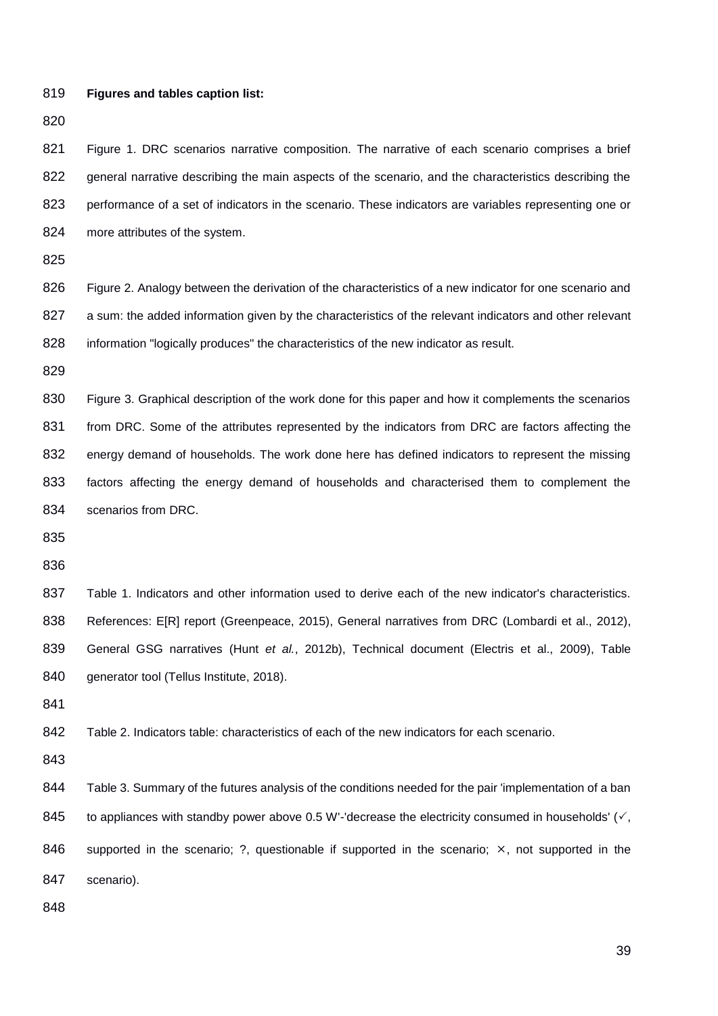```
819 Figures and tables caption list:
```
821 Figure 1. DRC scenarios narrative composition. The narrative of each scenario comprises a brief general narrative describing the main aspects of the scenario, and the characteristics describing the 823 performance of a set of indicators in the scenario. These indicators are variables representing one or more attributes of the system.

826 Figure 2. Analogy between the derivation of the characteristics of a new indicator for one scenario and 827 a sum: the added information given by the characteristics of the relevant indicators and other relevant information "logically produces" the characteristics of the new indicator as result.

 Figure 3. Graphical description of the work done for this paper and how it complements the scenarios from DRC. Some of the attributes represented by the indicators from DRC are factors affecting the 832 energy demand of households. The work done here has defined indicators to represent the missing factors affecting the energy demand of households and characterised them to complement the scenarios from DRC.

 Table 1. Indicators and other information used to derive each of the new indicator's characteristics. 838 References: E[R] report (Greenpeace, 2015), General narratives from DRC (Lombardi et al., 2012), General GSG narratives (Hunt *et al.*, 2012b), Technical document (Electris et al., 2009), Table 840 generator tool (Tellus Institute, 2018).

Table 2. Indicators table: characteristics of each of the new indicators for each scenario.

844 Table 3. Summary of the futures analysis of the conditions needed for the pair 'implementation of a ban 845 to appliances with standby power above 0.5 W'-'decrease the electricity consumed in households'  $(\checkmark)$ , 846 supported in the scenario; ?, questionable if supported in the scenario;  $\times$ , not supported in the scenario).